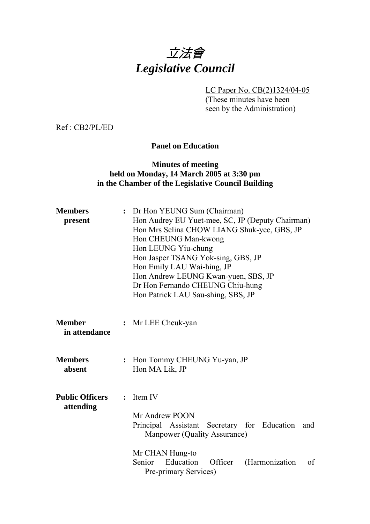# 立法會 *Legislative Council*

LC Paper No. CB(2)1324/04-05 (These minutes have been

seen by the Administration)

Ref : CB2/PL/ED

**Panel on Education** 

#### **Minutes of meeting held on Monday, 14 March 2005 at 3:30 pm in the Chamber of the Legislative Council Building**

| <b>Members</b><br>present           | Dr Hon YEUNG Sum (Chairman)<br>Hon Audrey EU Yuet-mee, SC, JP (Deputy Chairman)<br>Hon Mrs Selina CHOW LIANG Shuk-yee, GBS, JP<br>Hon CHEUNG Man-kwong<br>Hon LEUNG Yiu-chung<br>Hon Jasper TSANG Yok-sing, GBS, JP<br>Hon Emily LAU Wai-hing, JP<br>Hon Andrew LEUNG Kwan-yuen, SBS, JP<br>Dr Hon Fernando CHEUNG Chiu-hung<br>Hon Patrick LAU Sau-shing, SBS, JP |  |  |
|-------------------------------------|--------------------------------------------------------------------------------------------------------------------------------------------------------------------------------------------------------------------------------------------------------------------------------------------------------------------------------------------------------------------|--|--|
| <b>Member</b><br>in attendance      | : Mr LEE Cheuk-yan                                                                                                                                                                                                                                                                                                                                                 |  |  |
| <b>Members</b><br>absent            | Hon Tommy CHEUNG Yu-yan, JP<br>$\ddot{\cdot}$<br>Hon MA Lik, JP                                                                                                                                                                                                                                                                                                    |  |  |
| <b>Public Officers</b><br>attending | Item IV<br>$\ddot{\cdot}$<br>Mr Andrew POON<br>Principal Assistant Secretary for Education<br>and<br>Manpower (Quality Assurance)<br>Mr CHAN Hung-to<br>Education<br>Senior<br>Officer<br>(Harmonization<br>of                                                                                                                                                     |  |  |
|                                     | Pre-primary Services)                                                                                                                                                                                                                                                                                                                                              |  |  |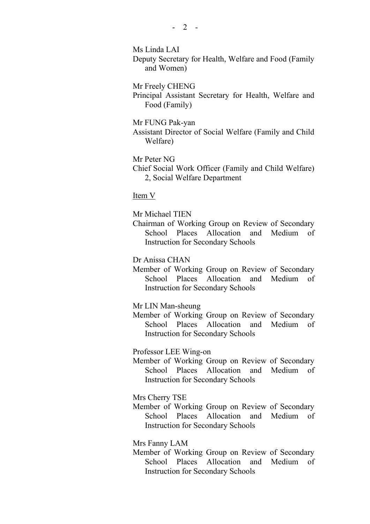Ms Linda LAI

Deputy Secretary for Health, Welfare and Food (Family and Women)

Mr Freely CHENG

Principal Assistant Secretary for Health, Welfare and Food (Family)

Mr FUNG Pak-yan

Assistant Director of Social Welfare (Family and Child Welfare)

Mr Peter NG

Chief Social Work Officer (Family and Child Welfare) 2, Social Welfare Department

Item V

Mr Michael TIEN

Chairman of Working Group on Review of Secondary School Places Allocation and Medium of Instruction for Secondary Schools

Dr Anissa CHAN

Member of Working Group on Review of Secondary School Places Allocation and Medium of Instruction for Secondary Schools

Mr LIN Man-sheung

Member of Working Group on Review of Secondary School Places Allocation and Medium of Instruction for Secondary Schools

Professor LEE Wing-on

Member of Working Group on Review of Secondary School Places Allocation and Medium of Instruction for Secondary Schools

Mrs Cherry TSE

Member of Working Group on Review of Secondary School Places Allocation and Medium of Instruction for Secondary Schools

Mrs Fanny LAM

Member of Working Group on Review of Secondary School Places Allocation and Medium of Instruction for Secondary Schools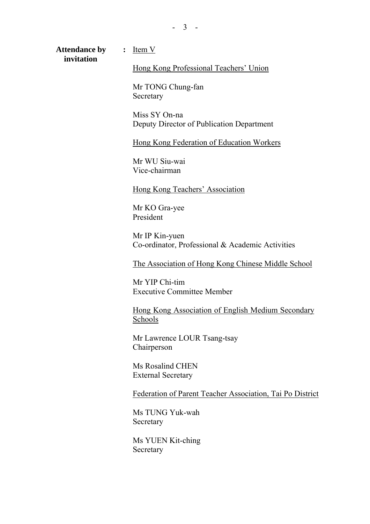**Attendance by :** Item V  **invitation** 

#### Hong Kong Professional Teachers' Union

Mr TONG Chung-fan Secretary

Miss SY On-na Deputy Director of Publication Department

Hong Kong Federation of Education Workers

Mr WU Siu-wai Vice-chairman

Hong Kong Teachers' Association

Mr KO Gra-yee President

Mr IP Kin-yuen Co-ordinator, Professional & Academic Activities

The Association of Hong Kong Chinese Middle School

Mr YIP Chi-tim Executive Committee Member

Hong Kong Association of English Medium Secondary Schools

Mr Lawrence LOUR Tsang-tsay Chairperson

Ms Rosalind CHEN External Secretary

Federation of Parent Teacher Association, Tai Po District

Ms TUNG Yuk-wah Secretary

Ms YUEN Kit-ching Secretary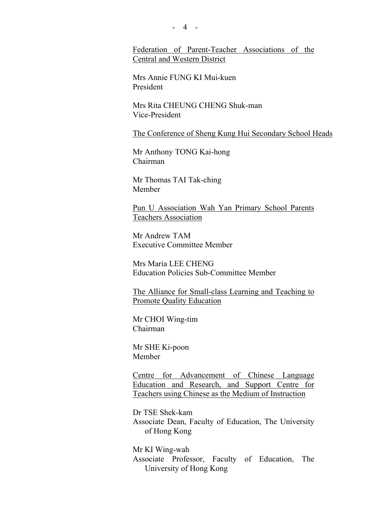- 4 -

Federation of Parent-Teacher Associations of the Central and Western District

Mrs Annie FUNG KI Mui-kuen President

Mrs Rita CHEUNG CHENG Shuk-man Vice-President

The Conference of Sheng Kung Hui Secondary School Heads

Mr Anthony TONG Kai-hong Chairman

Mr Thomas TAI Tak-ching Member

Pun U Association Wah Yan Primary School Parents Teachers Association

Mr Andrew TAM Executive Committee Member

Mrs Maria LEE CHENG Education Policies Sub-Committee Member

The Alliance for Small-class Learning and Teaching to Promote Quality Education

Mr CHOI Wing-tim Chairman

Mr SHE Ki-poon Member

Centre for Advancement of Chinese Language Education and Research, and Support Centre for Teachers using Chinese as the Medium of Instruction

Dr TSE Shek-kam Associate Dean, Faculty of Education, The University of Hong Kong

Mr KI Wing-wah Associate Professor, Faculty of Education, The University of Hong Kong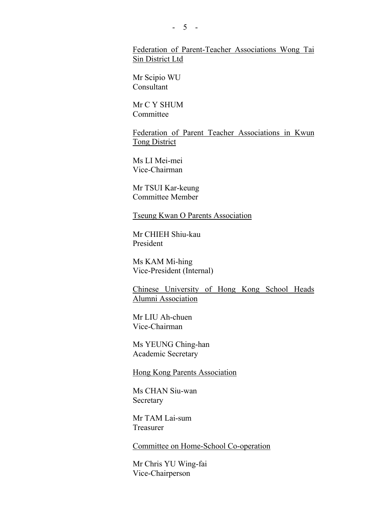Federation of Parent-Teacher Associations Wong Tai Sin District Ltd

Mr Scipio WU Consultant

Mr C Y SHUM **Committee** 

Federation of Parent Teacher Associations in Kwun Tong District

Ms LI Mei-mei Vice-Chairman

Mr TSUI Kar-keung Committee Member

Tseung Kwan O Parents Association

Mr CHIEH Shiu-kau President

Ms KAM Mi-hing Vice-President (Internal)

Chinese University of Hong Kong School Heads Alumni Association

Mr LIU Ah-chuen Vice-Chairman

Ms YEUNG Ching-han Academic Secretary

Hong Kong Parents Association

Ms CHAN Siu-wan Secretary

Mr TAM Lai-sum Treasurer

Committee on Home-School Co-operation

Mr Chris YU Wing-fai Vice-Chairperson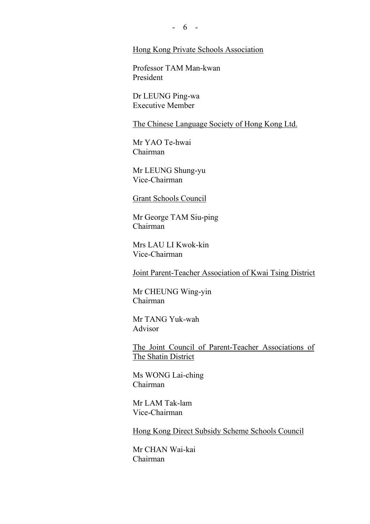$- 6 -$ 

#### Hong Kong Private Schools Association

Professor TAM Man-kwan President

Dr LEUNG Ping-wa Executive Member

The Chinese Language Society of Hong Kong Ltd.

Mr YAO Te-hwai Chairman

Mr LEUNG Shung-yu Vice-Chairman

Grant Schools Council

Mr George TAM Siu-ping Chairman

Mrs LAU LI Kwok-kin Vice-Chairman

Joint Parent-Teacher Association of Kwai Tsing District

Mr CHEUNG Wing-yin Chairman

Mr TANG Yuk-wah Advisor

The Joint Council of Parent-Teacher Associations of The Shatin District

Ms WONG Lai-ching Chairman

Mr LAM Tak-lam Vice-Chairman

Hong Kong Direct Subsidy Scheme Schools Council

Mr CHAN Wai-kai Chairman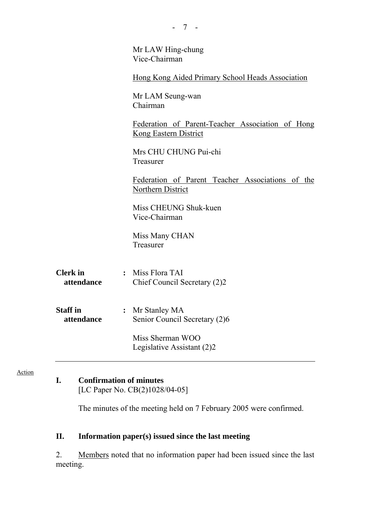|                               | Mr LAW Hing-chung<br>Vice-Chairman                                        |  |
|-------------------------------|---------------------------------------------------------------------------|--|
|                               | Hong Kong Aided Primary School Heads Association                          |  |
|                               | Mr LAM Seung-wan<br>Chairman                                              |  |
|                               | Federation of Parent-Teacher Association of Hong<br>Kong Eastern District |  |
|                               | Mrs CHU CHUNG Pui-chi<br>Treasurer                                        |  |
|                               | Federation of Parent Teacher Associations of the<br>Northern District     |  |
|                               | Miss CHEUNG Shuk-kuen<br>Vice-Chairman                                    |  |
|                               | Miss Many CHAN<br>Treasurer                                               |  |
| <b>Clerk</b> in<br>attendance | : Miss Flora TAI<br>Chief Council Secretary (2)2                          |  |
| <b>Staff</b> in<br>attendance | : Mr Stanley MA<br>Senior Council Secretary (2)6                          |  |
|                               | Miss Sherman WOO<br>Legislative Assistant (2)2                            |  |

- 7 -

## **I. Confirmation of minutes**

Action

[LC Paper No. CB(2)1028/04-05]

The minutes of the meeting held on 7 February 2005 were confirmed.

## **II. Information paper(s) issued since the last meeting**

2. Members noted that no information paper had been issued since the last meeting.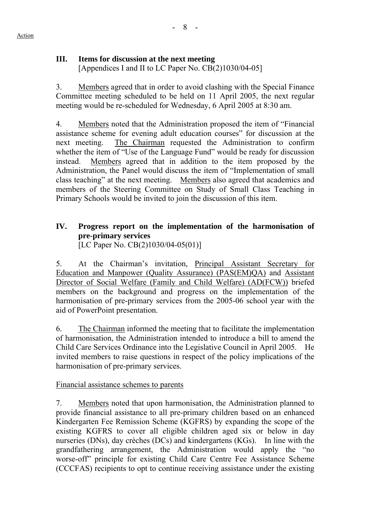## **III. Items for discussion at the next meeting**

[Appendices I and II to LC Paper No. CB(2)1030/04-05]

3. Members agreed that in order to avoid clashing with the Special Finance Committee meeting scheduled to be held on 11 April 2005, the next regular meeting would be re-scheduled for Wednesday, 6 April 2005 at 8:30 am.

4. Members noted that the Administration proposed the item of "Financial assistance scheme for evening adult education courses" for discussion at the next meeting. The Chairman requested the Administration to confirm whether the item of "Use of the Language Fund" would be ready for discussion instead. Members agreed that in addition to the item proposed by the Administration, the Panel would discuss the item of "Implementation of small class teaching" at the next meeting. Members also agreed that academics and members of the Steering Committee on Study of Small Class Teaching in Primary Schools would be invited to join the discussion of this item.

## **IV. Progress report on the implementation of the harmonisation of pre-primary services**

[LC Paper No. CB(2)1030/04-05(01)]

5. At the Chairman's invitation, Principal Assistant Secretary for Education and Manpower (Quality Assurance) (PAS(EM)QA) and Assistant Director of Social Welfare (Family and Child Welfare) (AD(FCW)) briefed members on the background and progress on the implementation of the harmonisation of pre-primary services from the 2005-06 school year with the aid of PowerPoint presentation.

6. The Chairman informed the meeting that to facilitate the implementation of harmonisation, the Administration intended to introduce a bill to amend the Child Care Services Ordinance into the Legislative Council in April 2005. He invited members to raise questions in respect of the policy implications of the harmonisation of pre-primary services.

## Financial assistance schemes to parents

7. Members noted that upon harmonisation, the Administration planned to provide financial assistance to all pre-primary children based on an enhanced Kindergarten Fee Remission Scheme (KGFRS) by expanding the scope of the existing KGFRS to cover all eligible children aged six or below in day nurseries (DNs), day crèches (DCs) and kindergartens (KGs). In line with the grandfathering arrangement, the Administration would apply the "no worse-off" principle for existing Child Care Centre Fee Assistance Scheme (CCCFAS) recipients to opt to continue receiving assistance under the existing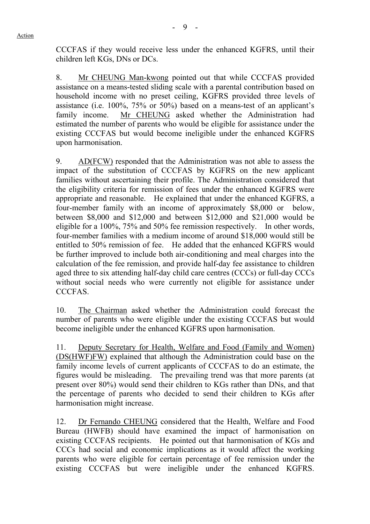CCCFAS if they would receive less under the enhanced KGFRS, until their children left KGs, DNs or DCs.

8. Mr CHEUNG Man-kwong pointed out that while CCCFAS provided assistance on a means-tested sliding scale with a parental contribution based on household income with no preset ceiling, KGFRS provided three levels of assistance (i.e. 100%, 75% or 50%) based on a means-test of an applicant's family income. Mr CHEUNG asked whether the Administration had estimated the number of parents who would be eligible for assistance under the existing CCCFAS but would become ineligible under the enhanced KGFRS upon harmonisation.

9. AD(FCW) responded that the Administration was not able to assess the impact of the substitution of CCCFAS by KGFRS on the new applicant families without ascertaining their profile. The Administration considered that the eligibility criteria for remission of fees under the enhanced KGFRS were appropriate and reasonable. He explained that under the enhanced KGFRS, a four-member family with an income of approximately \$8,000 or below, between \$8,000 and \$12,000 and between \$12,000 and \$21,000 would be eligible for a 100%, 75% and 50% fee remission respectively. In other words, four-member families with a medium income of around \$18,000 would still be entitled to 50% remission of fee. He added that the enhanced KGFRS would be further improved to include both air-conditioning and meal charges into the calculation of the fee remission, and provide half-day fee assistance to children aged three to six attending half-day child care centres (CCCs) or full-day CCCs without social needs who were currently not eligible for assistance under CCCFAS.

10. The Chairman asked whether the Administration could forecast the number of parents who were eligible under the existing CCCFAS but would become ineligible under the enhanced KGFRS upon harmonisation.

11. Deputy Secretary for Health, Welfare and Food (Family and Women) (DS(HWF)FW) explained that although the Administration could base on the family income levels of current applicants of CCCFAS to do an estimate, the figures would be misleading. The prevailing trend was that more parents (at present over 80%) would send their children to KGs rather than DNs, and that the percentage of parents who decided to send their children to KGs after harmonisation might increase.

12. Dr Fernando CHEUNG considered that the Health, Welfare and Food Bureau (HWFB) should have examined the impact of harmonisation on existing CCCFAS recipients. He pointed out that harmonisation of KGs and CCCs had social and economic implications as it would affect the working parents who were eligible for certain percentage of fee remission under the existing CCCFAS but were ineligible under the enhanced KGFRS.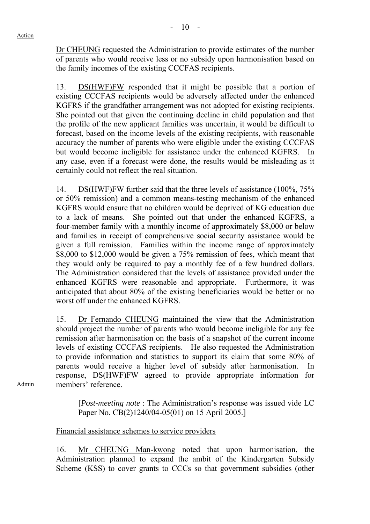Dr CHEUNG requested the Administration to provide estimates of the number of parents who would receive less or no subsidy upon harmonisation based on the family incomes of the existing CCCFAS recipients.

13. DS(HWF)FW responded that it might be possible that a portion of existing CCCFAS recipients would be adversely affected under the enhanced KGFRS if the grandfather arrangement was not adopted for existing recipients. She pointed out that given the continuing decline in child population and that the profile of the new applicant families was uncertain, it would be difficult to forecast, based on the income levels of the existing recipients, with reasonable accuracy the number of parents who were eligible under the existing CCCFAS but would become ineligible for assistance under the enhanced KGFRS. In any case, even if a forecast were done, the results would be misleading as it certainly could not reflect the real situation.

14. DS(HWF)FW further said that the three levels of assistance (100%, 75% or 50% remission) and a common means-testing mechanism of the enhanced KGFRS would ensure that no children would be deprived of KG education due to a lack of means. She pointed out that under the enhanced KGFRS, a four-member family with a monthly income of approximately \$8,000 or below and families in receipt of comprehensive social security assistance would be given a full remission. Families within the income range of approximately \$8,000 to \$12,000 would be given a 75% remission of fees, which meant that they would only be required to pay a monthly fee of a few hundred dollars. The Administration considered that the levels of assistance provided under the enhanced KGFRS were reasonable and appropriate. Furthermore, it was anticipated that about 80% of the existing beneficiaries would be better or no worst off under the enhanced KGFRS.

15. Dr Fernando CHEUNG maintained the view that the Administration should project the number of parents who would become ineligible for any fee remission after harmonisation on the basis of a snapshot of the current income levels of existing CCCFAS recipients. He also requested the Administration to provide information and statistics to support its claim that some 80% of parents would receive a higher level of subsidy after harmonisation. In response, DS(HWF)FW agreed to provide appropriate information for members' reference.

Admin

[*Post-meeting note* : The Administration's response was issued vide LC Paper No. CB(2)1240/04-05(01) on 15 April 2005.]

#### Financial assistance schemes to service providers

16. Mr CHEUNG Man-kwong noted that upon harmonisation, the Administration planned to expand the ambit of the Kindergarten Subsidy Scheme (KSS) to cover grants to CCCs so that government subsidies (other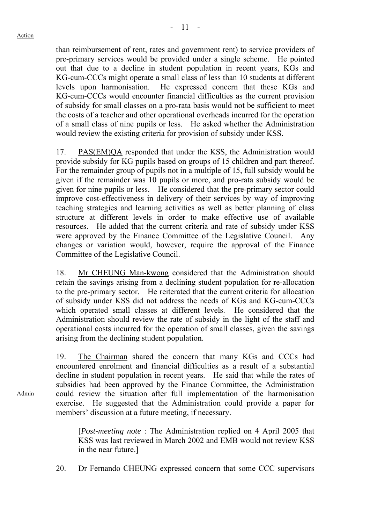than reimbursement of rent, rates and government rent) to service providers of pre-primary services would be provided under a single scheme. He pointed out that due to a decline in student population in recent years, KGs and KG-cum-CCCs might operate a small class of less than 10 students at different levels upon harmonisation. He expressed concern that these KGs and KG-cum-CCCs would encounter financial difficulties as the current provision of subsidy for small classes on a pro-rata basis would not be sufficient to meet the costs of a teacher and other operational overheads incurred for the operation of a small class of nine pupils or less. He asked whether the Administration would review the existing criteria for provision of subsidy under KSS.

17. PAS(EM)QA responded that under the KSS, the Administration would provide subsidy for KG pupils based on groups of 15 children and part thereof. For the remainder group of pupils not in a multiple of 15, full subsidy would be given if the remainder was 10 pupils or more, and pro-rata subsidy would be given for nine pupils or less. He considered that the pre-primary sector could improve cost-effectiveness in delivery of their services by way of improving teaching strategies and learning activities as well as better planning of class structure at different levels in order to make effective use of available resources. He added that the current criteria and rate of subsidy under KSS were approved by the Finance Committee of the Legislative Council. Any changes or variation would, however, require the approval of the Finance Committee of the Legislative Council.

18. Mr CHEUNG Man-kwong considered that the Administration should retain the savings arising from a declining student population for re-allocation to the pre-primary sector. He reiterated that the current criteria for allocation of subsidy under KSS did not address the needs of KGs and KG-cum-CCCs which operated small classes at different levels. He considered that the Administration should review the rate of subsidy in the light of the staff and operational costs incurred for the operation of small classes, given the savings arising from the declining student population.

19. The Chairman shared the concern that many KGs and CCCs had encountered enrolment and financial difficulties as a result of a substantial decline in student population in recent years. He said that while the rates of subsidies had been approved by the Finance Committee, the Administration could review the situation after full implementation of the harmonisation exercise. He suggested that the Administration could provide a paper for members' discussion at a future meeting, if necessary.

[*Post-meeting note* : The Administration replied on 4 April 2005 that KSS was last reviewed in March 2002 and EMB would not review KSS in the near future.]

20. Dr Fernando CHEUNG expressed concern that some CCC supervisors

Admin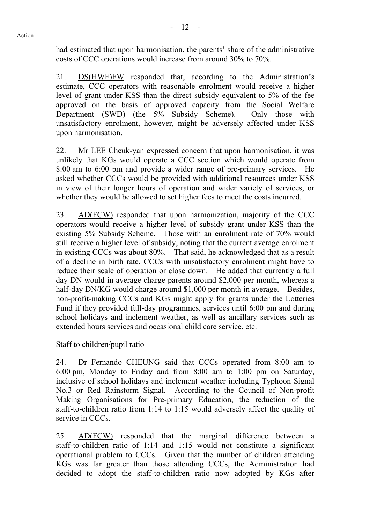had estimated that upon harmonisation, the parents' share of the administrative costs of CCC operations would increase from around 30% to 70%.

21. DS(HWF)FW responded that, according to the Administration's estimate, CCC operators with reasonable enrolment would receive a higher level of grant under KSS than the direct subsidy equivalent to 5% of the fee approved on the basis of approved capacity from the Social Welfare Department (SWD) (the 5% Subsidy Scheme). Only those with unsatisfactory enrolment, however, might be adversely affected under KSS upon harmonisation.

22. Mr LEE Cheuk-yan expressed concern that upon harmonisation, it was unlikely that KGs would operate a CCC section which would operate from 8:00 am to 6:00 pm and provide a wider range of pre-primary services. He asked whether CCCs would be provided with additional resources under KSS in view of their longer hours of operation and wider variety of services, or whether they would be allowed to set higher fees to meet the costs incurred.

23. AD(FCW) responded that upon harmonization, majority of the CCC operators would receive a higher level of subsidy grant under KSS than the existing 5% Subsidy Scheme. Those with an enrolment rate of 70% would still receive a higher level of subsidy, noting that the current average enrolment in existing CCCs was about 80%. That said, he acknowledged that as a result of a decline in birth rate, CCCs with unsatisfactory enrolment might have to reduce their scale of operation or close down. He added that currently a full day DN would in average charge parents around \$2,000 per month, whereas a half-day DN/KG would charge around \$1,000 per month in average. Besides, non-profit-making CCCs and KGs might apply for grants under the Lotteries Fund if they provided full-day programmes, services until 6:00 pm and during school holidays and inclement weather, as well as ancillary services such as extended hours services and occasional child care service, etc.

## Staff to children/pupil ratio

24. Dr Fernando CHEUNG said that CCCs operated from 8:00 am to 6:00 pm, Monday to Friday and from 8:00 am to 1:00 pm on Saturday, inclusive of school holidays and inclement weather including Typhoon Signal No.3 or Red Rainstorm Signal. According to the Council of Non-profit Making Organisations for Pre-primary Education, the reduction of the staff-to-children ratio from 1:14 to 1:15 would adversely affect the quality of service in CCCs.

25. AD(FCW) responded that the marginal difference between a staff-to-children ratio of 1:14 and 1:15 would not constitute a significant operational problem to CCCs. Given that the number of children attending KGs was far greater than those attending CCCs, the Administration had decided to adopt the staff-to-children ratio now adopted by KGs after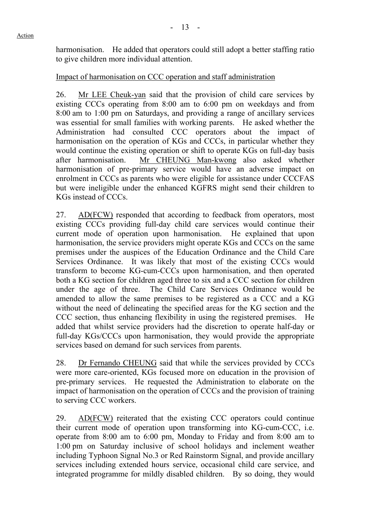harmonisation. He added that operators could still adopt a better staffing ratio to give children more individual attention.

## Impact of harmonisation on CCC operation and staff administration

26. Mr LEE Cheuk-yan said that the provision of child care services by existing CCCs operating from 8:00 am to 6:00 pm on weekdays and from 8:00 am to 1:00 pm on Saturdays, and providing a range of ancillary services was essential for small families with working parents. He asked whether the Administration had consulted CCC operators about the impact of harmonisation on the operation of KGs and CCCs, in particular whether they would continue the existing operation or shift to operate KGs on full-day basis after harmonisation. Mr CHEUNG Man-kwong also asked whether harmonisation of pre-primary service would have an adverse impact on enrolment in CCCs as parents who were eligible for assistance under CCCFAS but were ineligible under the enhanced KGFRS might send their children to KGs instead of CCCs.

27. AD(FCW) responded that according to feedback from operators, most existing CCCs providing full-day child care services would continue their current mode of operation upon harmonisation. He explained that upon harmonisation, the service providers might operate KGs and CCCs on the same premises under the auspices of the Education Ordinance and the Child Care Services Ordinance. It was likely that most of the existing CCCs would transform to become KG-cum-CCCs upon harmonisation, and then operated both a KG section for children aged three to six and a CCC section for children under the age of three. The Child Care Services Ordinance would be amended to allow the same premises to be registered as a CCC and a KG without the need of delineating the specified areas for the KG section and the CCC section, thus enhancing flexibility in using the registered premises. He added that whilst service providers had the discretion to operate half-day or full-day KGs/CCCs upon harmonisation, they would provide the appropriate services based on demand for such services from parents.

28. Dr Fernando CHEUNG said that while the services provided by CCCs were more care-oriented, KGs focused more on education in the provision of pre-primary services. He requested the Administration to elaborate on the impact of harmonisation on the operation of CCCs and the provision of training to serving CCC workers.

29. AD(FCW) reiterated that the existing CCC operators could continue their current mode of operation upon transforming into KG-cum-CCC, i.e. operate from 8:00 am to 6:00 pm, Monday to Friday and from 8:00 am to 1:00 pm on Saturday inclusive of school holidays and inclement weather including Typhoon Signal No.3 or Red Rainstorm Signal, and provide ancillary services including extended hours service, occasional child care service, and integrated programme for mildly disabled children. By so doing, they would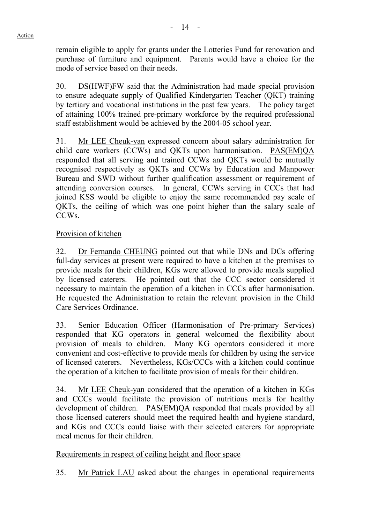remain eligible to apply for grants under the Lotteries Fund for renovation and purchase of furniture and equipment. Parents would have a choice for the mode of service based on their needs.

30. DS(HWF)FW said that the Administration had made special provision to ensure adequate supply of Qualified Kindergarten Teacher (QKT) training by tertiary and vocational institutions in the past few years. The policy target of attaining 100% trained pre-primary workforce by the required professional staff establishment would be achieved by the 2004-05 school year.

31. Mr LEE Cheuk-yan expressed concern about salary administration for child care workers (CCWs) and QKTs upon harmonisation. PAS(EM)QA responded that all serving and trained CCWs and QKTs would be mutually recognised respectively as QKTs and CCWs by Education and Manpower Bureau and SWD without further qualification assessment or requirement of attending conversion courses. In general, CCWs serving in CCCs that had joined KSS would be eligible to enjoy the same recommended pay scale of QKTs, the ceiling of which was one point higher than the salary scale of CCWs.

## Provision of kitchen

32. Dr Fernando CHEUNG pointed out that while DNs and DCs offering full-day services at present were required to have a kitchen at the premises to provide meals for their children, KGs were allowed to provide meals supplied by licensed caterers. He pointed out that the CCC sector considered it necessary to maintain the operation of a kitchen in CCCs after harmonisation. He requested the Administration to retain the relevant provision in the Child Care Services Ordinance.

33. Senior Education Officer (Harmonisation of Pre-primary Services) responded that KG operators in general welcomed the flexibility about provision of meals to children. Many KG operators considered it more convenient and cost-effective to provide meals for children by using the service of licensed caterers. Nevertheless, KGs/CCCs with a kitchen could continue the operation of a kitchen to facilitate provision of meals for their children.

34. Mr LEE Cheuk-yan considered that the operation of a kitchen in KGs and CCCs would facilitate the provision of nutritious meals for healthy development of children. PAS(EM)QA responded that meals provided by all those licensed caterers should meet the required health and hygiene standard, and KGs and CCCs could liaise with their selected caterers for appropriate meal menus for their children.

## Requirements in respect of ceiling height and floor space

35. Mr Patrick LAU asked about the changes in operational requirements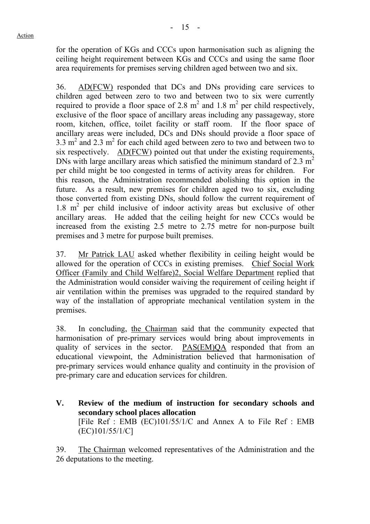for the operation of KGs and CCCs upon harmonisation such as aligning the ceiling height requirement between KGs and CCCs and using the same floor area requirements for premises serving children aged between two and six.

36. AD(FCW) responded that DCs and DNs providing care services to children aged between zero to two and between two to six were currently required to provide a floor space of 2.8  $m^2$  and 1.8  $m^2$  per child respectively, exclusive of the floor space of ancillary areas including any passageway, store room, kitchen, office, toilet facility or staff room. If the floor space of ancillary areas were included, DCs and DNs should provide a floor space of  $3.3 \text{ m}^2$  and  $2.3 \text{ m}^2$  for each child aged between zero to two and between two to six respectively. AD(FCW) pointed out that under the existing requirements, DNs with large ancillary areas which satisfied the minimum standard of 2.3  $m<sup>2</sup>$ per child might be too congested in terms of activity areas for children. For this reason, the Administration recommended abolishing this option in the future. As a result, new premises for children aged two to six, excluding those converted from existing DNs, should follow the current requirement of 1.8 m<sup>2</sup> per child inclusive of indoor activity areas but exclusive of other ancillary areas. He added that the ceiling height for new CCCs would be increased from the existing 2.5 metre to 2.75 metre for non-purpose built premises and 3 metre for purpose built premises.

37. Mr Patrick LAU asked whether flexibility in ceiling height would be allowed for the operation of CCCs in existing premises. Chief Social Work Officer (Family and Child Welfare)2, Social Welfare Department replied that the Administration would consider waiving the requirement of ceiling height if air ventilation within the premises was upgraded to the required standard by way of the installation of appropriate mechanical ventilation system in the premises.

38. In concluding, the Chairman said that the community expected that harmonisation of pre-primary services would bring about improvements in quality of services in the sector. PAS(EM)QA responded that from an educational viewpoint, the Administration believed that harmonisation of pre-primary services would enhance quality and continuity in the provision of pre-primary care and education services for children.

**V. Review of the medium of instruction for secondary schools and secondary school places allocation**  [File Ref : EMB (EC)101/55/1/C and Annex A to File Ref : EMB (EC)101/55/1/C]

39. The Chairman welcomed representatives of the Administration and the 26 deputations to the meeting.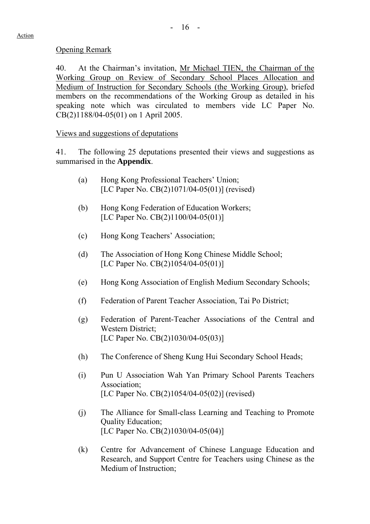## Opening Remark

40. At the Chairman's invitation, Mr Michael TIEN, the Chairman of the Working Group on Review of Secondary School Places Allocation and Medium of Instruction for Secondary Schools (the Working Group), briefed members on the recommendations of the Working Group as detailed in his speaking note which was circulated to members vide LC Paper No. CB(2)1188/04-05(01) on 1 April 2005.

## Views and suggestions of deputations

41. The following 25 deputations presented their views and suggestions as summarised in the **Appendix**.

- (a) Hong Kong Professional Teachers' Union; [LC Paper No. CB(2)1071/04-05(01)] (revised)
- (b) Hong Kong Federation of Education Workers; [LC Paper No. CB(2)1100/04-05(01)]
- (c) Hong Kong Teachers' Association;
- (d) The Association of Hong Kong Chinese Middle School; [LC Paper No. CB(2)1054/04-05(01)]
- (e) Hong Kong Association of English Medium Secondary Schools;
- (f) Federation of Parent Teacher Association, Tai Po District;
- (g) Federation of Parent-Teacher Associations of the Central and Western District; [LC Paper No. CB(2)1030/04-05(03)]
- (h) The Conference of Sheng Kung Hui Secondary School Heads;
- (i) Pun U Association Wah Yan Primary School Parents Teachers Association; [LC Paper No. CB(2)1054/04-05(02)] (revised)
- (j) The Alliance for Small-class Learning and Teaching to Promote Quality Education; [LC Paper No. CB(2)1030/04-05(04)]
- (k) Centre for Advancement of Chinese Language Education and Research, and Support Centre for Teachers using Chinese as the Medium of Instruction;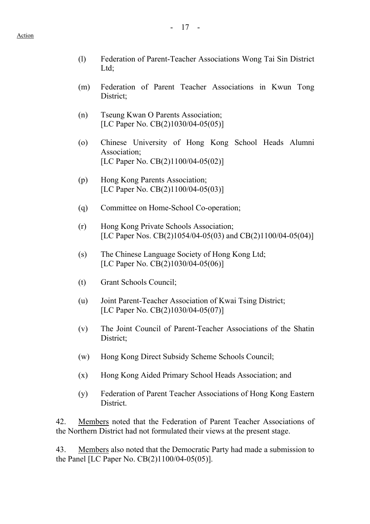- (l) Federation of Parent-Teacher Associations Wong Tai Sin District Ltd:
- (m) Federation of Parent Teacher Associations in Kwun Tong District;
- (n) Tseung Kwan O Parents Association; [LC Paper No. CB(2)1030/04-05(05)]
- (o) Chinese University of Hong Kong School Heads Alumni Association; [LC Paper No. CB(2)1100/04-05(02)]
- (p) Hong Kong Parents Association; [LC Paper No. CB(2)1100/04-05(03)]
- (q) Committee on Home-School Co-operation;
- (r) Hong Kong Private Schools Association; [LC Paper Nos. CB(2)1054/04-05(03) and CB(2)1100/04-05(04)]
- (s) The Chinese Language Society of Hong Kong Ltd; [LC Paper No. CB(2)1030/04-05(06)]
- (t) Grant Schools Council;
- (u) Joint Parent-Teacher Association of Kwai Tsing District; [LC Paper No. CB(2)1030/04-05(07)]
- (v) The Joint Council of Parent-Teacher Associations of the Shatin District;
- (w) Hong Kong Direct Subsidy Scheme Schools Council;
- (x) Hong Kong Aided Primary School Heads Association; and
- (y) Federation of Parent Teacher Associations of Hong Kong Eastern District.

42. Members noted that the Federation of Parent Teacher Associations of the Northern District had not formulated their views at the present stage.

43. Members also noted that the Democratic Party had made a submission to the Panel [LC Paper No. CB(2)1100/04-05(05)].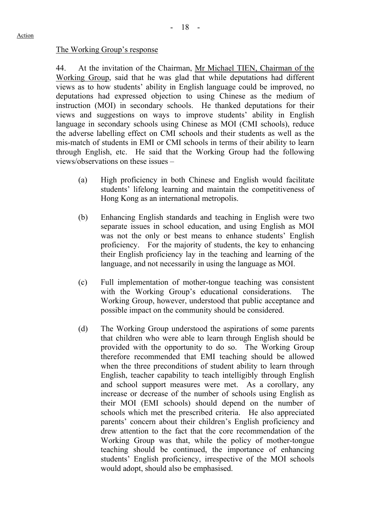## The Working Group's response

44. At the invitation of the Chairman, Mr Michael TIEN, Chairman of the Working Group, said that he was glad that while deputations had different views as to how students' ability in English language could be improved, no deputations had expressed objection to using Chinese as the medium of instruction (MOI) in secondary schools. He thanked deputations for their views and suggestions on ways to improve students' ability in English language in secondary schools using Chinese as MOI (CMI schools), reduce the adverse labelling effect on CMI schools and their students as well as the mis-match of students in EMI or CMI schools in terms of their ability to learn through English, etc. He said that the Working Group had the following views/observations on these issues –

- (a) High proficiency in both Chinese and English would facilitate students' lifelong learning and maintain the competitiveness of Hong Kong as an international metropolis.
- (b) Enhancing English standards and teaching in English were two separate issues in school education, and using English as MOI was not the only or best means to enhance students' English proficiency. For the majority of students, the key to enhancing their English proficiency lay in the teaching and learning of the language, and not necessarily in using the language as MOI.
- (c) Full implementation of mother-tongue teaching was consistent with the Working Group's educational considerations. The Working Group, however, understood that public acceptance and possible impact on the community should be considered.
- (d) The Working Group understood the aspirations of some parents that children who were able to learn through English should be provided with the opportunity to do so. The Working Group therefore recommended that EMI teaching should be allowed when the three preconditions of student ability to learn through English, teacher capability to teach intelligibly through English and school support measures were met. As a corollary, any increase or decrease of the number of schools using English as their MOI (EMI schools) should depend on the number of schools which met the prescribed criteria. He also appreciated parents' concern about their children's English proficiency and drew attention to the fact that the core recommendation of the Working Group was that, while the policy of mother-tongue teaching should be continued, the importance of enhancing students' English proficiency, irrespective of the MOI schools would adopt, should also be emphasised.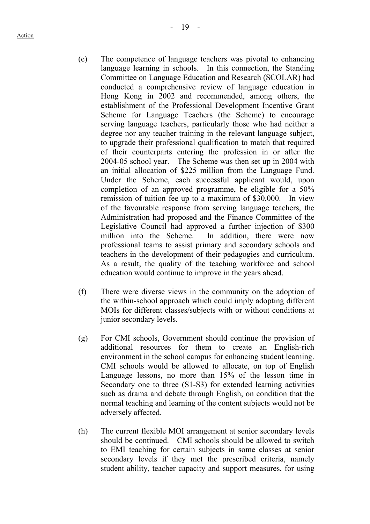- (e) The competence of language teachers was pivotal to enhancing language learning in schools. In this connection, the Standing Committee on Language Education and Research (SCOLAR) had conducted a comprehensive review of language education in Hong Kong in 2002 and recommended, among others, the establishment of the Professional Development Incentive Grant Scheme for Language Teachers (the Scheme) to encourage serving language teachers, particularly those who had neither a degree nor any teacher training in the relevant language subject, to upgrade their professional qualification to match that required of their counterparts entering the profession in or after the 2004-05 school year. The Scheme was then set up in 2004 with an initial allocation of \$225 million from the Language Fund. Under the Scheme, each successful applicant would, upon completion of an approved programme, be eligible for a 50% remission of tuition fee up to a maximum of \$30,000. In view of the favourable response from serving language teachers, the Administration had proposed and the Finance Committee of the Legislative Council had approved a further injection of \$300 million into the Scheme. In addition, there were now professional teams to assist primary and secondary schools and teachers in the development of their pedagogies and curriculum. As a result, the quality of the teaching workforce and school education would continue to improve in the years ahead.
- (f) There were diverse views in the community on the adoption of the within-school approach which could imply adopting different MOIs for different classes/subjects with or without conditions at junior secondary levels.
- (g) For CMI schools, Government should continue the provision of additional resources for them to create an English-rich environment in the school campus for enhancing student learning. CMI schools would be allowed to allocate, on top of English Language lessons, no more than 15% of the lesson time in Secondary one to three (S1-S3) for extended learning activities such as drama and debate through English, on condition that the normal teaching and learning of the content subjects would not be adversely affected.
- (h) The current flexible MOI arrangement at senior secondary levels should be continued. CMI schools should be allowed to switch to EMI teaching for certain subjects in some classes at senior secondary levels if they met the prescribed criteria, namely student ability, teacher capacity and support measures, for using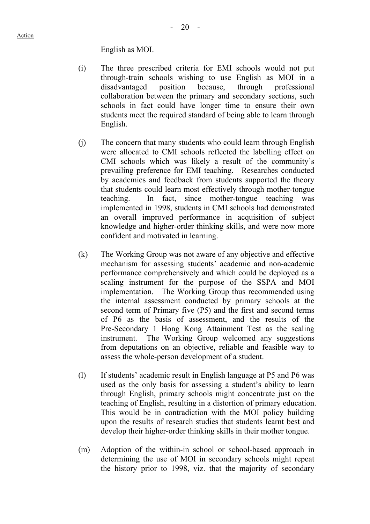English as MOI.

- (i) The three prescribed criteria for EMI schools would not put through-train schools wishing to use English as MOI in a disadvantaged position because, through professional collaboration between the primary and secondary sections, such schools in fact could have longer time to ensure their own students meet the required standard of being able to learn through English.
- (j) The concern that many students who could learn through English were allocated to CMI schools reflected the labelling effect on CMI schools which was likely a result of the community's prevailing preference for EMI teaching. Researches conducted by academics and feedback from students supported the theory that students could learn most effectively through mother-tongue teaching. In fact, since mother-tongue teaching was implemented in 1998, students in CMI schools had demonstrated an overall improved performance in acquisition of subject knowledge and higher-order thinking skills, and were now more confident and motivated in learning.
- (k) The Working Group was not aware of any objective and effective mechanism for assessing students' academic and non-academic performance comprehensively and which could be deployed as a scaling instrument for the purpose of the SSPA and MOI implementation. The Working Group thus recommended using the internal assessment conducted by primary schools at the second term of Primary five (P5) and the first and second terms of P6 as the basis of assessment, and the results of the Pre-Secondary 1 Hong Kong Attainment Test as the scaling instrument. The Working Group welcomed any suggestions from deputations on an objective, reliable and feasible way to assess the whole-person development of a student.
- (l) If students' academic result in English language at P5 and P6 was used as the only basis for assessing a student's ability to learn through English, primary schools might concentrate just on the teaching of English, resulting in a distortion of primary education. This would be in contradiction with the MOI policy building upon the results of research studies that students learnt best and develop their higher-order thinking skills in their mother tongue.
- (m) Adoption of the within-in school or school-based approach in determining the use of MOI in secondary schools might repeat the history prior to 1998, viz. that the majority of secondary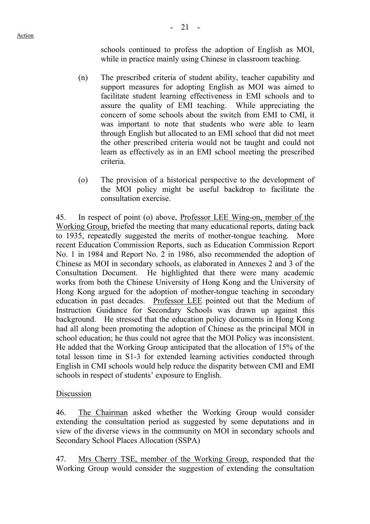schools continued to profess the adoption of English as MOI, while in practice mainly using Chinese in classroom teaching.

- (n) The prescribed criteria of student ability, teacher capability and support measures for adopting English as MOI was aimed to facilitate student learning effectiveness in EMI schools and to assure the quality of EMI teaching. While appreciating the concern of some schools about the switch from EMI to CMI, it was important to note that students who were able to learn through English but allocated to an EMI school that did not meet the other prescribed criteria would not be taught and could not learn as effectively as in an EMI school meeting the prescribed criteria.
- (o) The provision of a historical perspective to the development of the MOI policy might be useful backdrop to facilitate the consultation exercise.

45. In respect of point (o) above, Professor LEE Wing-on, member of the Working Group, briefed the meeting that many educational reports, dating back to 1935, repeatedly suggested the merits of mother-tongue teaching. More recent Education Commission Reports, such as Education Commission Report No. 1 in 1984 and Report No. 2 in 1986, also recommended the adoption of Chinese as MOI in secondary schools, as elaborated in Annexes 2 and 3 of the Consultation Document. He highlighted that there were many academic works from both the Chinese University of Hong Kong and the University of Hong Kong argued for the adoption of mother-tongue teaching in secondary education in past decades. Professor LEE pointed out that the Medium of Instruction Guidance for Secondary Schools was drawn up against this background. He stressed that the education policy documents in Hong Kong had all along been promoting the adoption of Chinese as the principal MOI in school education; he thus could not agree that the MOI Policy was inconsistent. He added that the Working Group anticipated that the allocation of 15% of the total lesson time in S1-3 for extended learning activities conducted through English in CMI schools would help reduce the disparity between CMI and EMI schools in respect of students' exposure to English.

## Discussion

46. The Chairman asked whether the Working Group would consider extending the consultation period as suggested by some deputations and in view of the diverse views in the community on MOI in secondary schools and Secondary School Places Allocation (SSPA)

47. Mrs Cherry TSE, member of the Working Group, responded that the Working Group would consider the suggestion of extending the consultation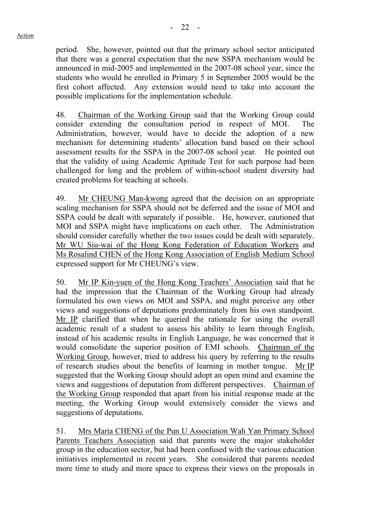period. She, however, pointed out that the primary school sector anticipated that there was a general expectation that the new SSPA mechanism would be announced in mid-2005 and implemented in the 2007-08 school year, since the students who would be enrolled in Primary 5 in September 2005 would be the first cohort affected. Any extension would need to take into account the possible implications for the implementation schedule.

48. Chairman of the Working Group said that the Working Group could consider extending the consultation period in respect of MOI. The Administration, however, would have to decide the adoption of a new mechanism for determining students' allocation band based on their school assessment results for the SSPA in the 2007-08 school year. He pointed out that the validity of using Academic Aptitude Test for such purpose had been challenged for long and the problem of within-school student diversity had created problems for teaching at schools.

49. Mr CHEUNG Man-kwong agreed that the decision on an appropriate scaling mechanism for SSPA should not be deferred and the issue of MOI and SSPA could be dealt with separately if possible. He, however, cautioned that MOI and SSPA might have implications on each other. The Administration should consider carefully whether the two issues could be dealt with separately. Mr WU Siu-wai of the Hong Kong Federation of Education Workers and Ms Rosalind CHEN of the Hong Kong Association of English Medium School expressed support for Mr CHEUNG's view.

50. Mr IP Kin-yuen of the Hong Kong Teachers' Association said that he had the impression that the Chairman of the Working Group had already formulated his own views on MOI and SSPA, and might perceive any other views and suggestions of deputations predominately from his own standpoint. Mr IP clarified that when he queried the rationale for using the overall academic result of a student to assess his ability to learn through English, instead of his academic results in English Language, he was concerned that it would consolidate the superior position of EMI schools. Chairman of the Working Group, however, tried to address his query by referring to the results of research studies about the benefits of learning in mother tongue. Mr IP suggested that the Working Group should adopt an open mind and examine the views and suggestions of deputation from different perspectives. Chairman of the Working Group responded that apart from his initial response made at the meeting, the Working Group would extensively consider the views and suggestions of deputations.

51. Mrs Maria CHENG of the Pun U Association Wah Yan Primary School Parents Teachers Association said that parents were the major stakeholder group in the education sector, but had been confused with the various education initiatives implemented in recent years. She considered that parents needed more time to study and more space to express their views on the proposals in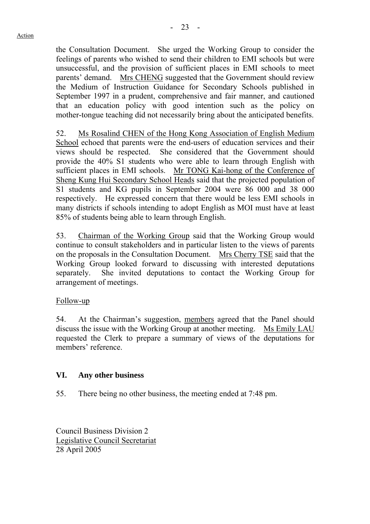the Consultation Document. She urged the Working Group to consider the feelings of parents who wished to send their children to EMI schools but were unsuccessful, and the provision of sufficient places in EMI schools to meet parents' demand. Mrs CHENG suggested that the Government should review the Medium of Instruction Guidance for Secondary Schools published in September 1997 in a prudent, comprehensive and fair manner, and cautioned that an education policy with good intention such as the policy on mother-tongue teaching did not necessarily bring about the anticipated benefits.

52. Ms Rosalind CHEN of the Hong Kong Association of English Medium School echoed that parents were the end-users of education services and their views should be respected. She considered that the Government should provide the 40% S1 students who were able to learn through English with sufficient places in EMI schools. Mr TONG Kai-hong of the Conference of Sheng Kung Hui Secondary School Heads said that the projected population of S1 students and KG pupils in September 2004 were 86 000 and 38 000 respectively. He expressed concern that there would be less EMI schools in many districts if schools intending to adopt English as MOI must have at least 85% of students being able to learn through English.

53. Chairman of the Working Group said that the Working Group would continue to consult stakeholders and in particular listen to the views of parents on the proposals in the Consultation Document. Mrs Cherry TSE said that the Working Group looked forward to discussing with interested deputations separately. She invited deputations to contact the Working Group for arrangement of meetings.

## Follow-up

54. At the Chairman's suggestion, members agreed that the Panel should discuss the issue with the Working Group at another meeting. Ms Emily LAU requested the Clerk to prepare a summary of views of the deputations for members' reference.

## **VI. Any other business**

55. There being no other business, the meeting ended at 7:48 pm.

Council Business Division 2 Legislative Council Secretariat 28 April 2005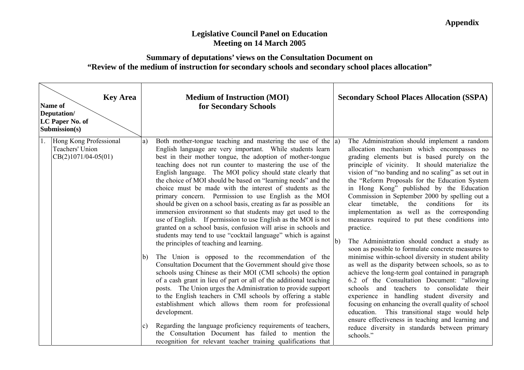## **Legislative Council Panel on Education Meeting on 14 March 2005**

## **Summary of deputations' views on the Consultation Document on "Review of the medium of instruction for secondary schools and secondary school places allocation"**

| <b>Key Area</b><br><b>Name of</b><br>Deputation/<br>LC Paper No. of<br>Submission(s) | <b>Medium of Instruction (MOI)</b><br>for Secondary Schools                                                                                                                                                                                                                                                                                                                                                                                                                                                                                                                                                                                                                                                                                                                                                                                                                                                                                                                                                                                                                                                                                                                                                                                                                                                                                                                                                                                                                                                                                                                               | <b>Secondary School Places Allocation (SSPA)</b>                                                                                                                                                                                                                                                                                                                                                                                                                                                                                                                                                                                                                                                                                                                                                                                                                                                                                                                                                                                                                                                                                                                                                                                             |
|--------------------------------------------------------------------------------------|-------------------------------------------------------------------------------------------------------------------------------------------------------------------------------------------------------------------------------------------------------------------------------------------------------------------------------------------------------------------------------------------------------------------------------------------------------------------------------------------------------------------------------------------------------------------------------------------------------------------------------------------------------------------------------------------------------------------------------------------------------------------------------------------------------------------------------------------------------------------------------------------------------------------------------------------------------------------------------------------------------------------------------------------------------------------------------------------------------------------------------------------------------------------------------------------------------------------------------------------------------------------------------------------------------------------------------------------------------------------------------------------------------------------------------------------------------------------------------------------------------------------------------------------------------------------------------------------|----------------------------------------------------------------------------------------------------------------------------------------------------------------------------------------------------------------------------------------------------------------------------------------------------------------------------------------------------------------------------------------------------------------------------------------------------------------------------------------------------------------------------------------------------------------------------------------------------------------------------------------------------------------------------------------------------------------------------------------------------------------------------------------------------------------------------------------------------------------------------------------------------------------------------------------------------------------------------------------------------------------------------------------------------------------------------------------------------------------------------------------------------------------------------------------------------------------------------------------------|
| Hong Kong Professional<br>Teachers' Union<br>$CB(2)1071/04-05(01)$                   | Both mother-tongue teaching and mastering the use of the $ a\rangle$<br>a)<br>English language are very important. While students learn<br>best in their mother tongue, the adoption of mother-tongue<br>teaching does not run counter to mastering the use of the<br>English language. The MOI policy should state clearly that<br>the choice of MOI should be based on "learning needs" and the<br>choice must be made with the interest of students as the<br>primary concern. Permission to use English as the MOI<br>should be given on a school basis, creating as far as possible an<br>immersion environment so that students may get used to the<br>use of English. If permission to use English as the MOI is not<br>granted on a school basis, confusion will arise in schools and<br>students may tend to use "cocktail language" which is against<br>the principles of teaching and learning.<br>The Union is opposed to the recommendation of the<br>$\mathbf{b}$<br>Consultation Document that the Government should give those<br>schools using Chinese as their MOI (CMI schools) the option<br>of a cash grant in lieu of part or all of the additional teaching<br>posts. The Union urges the Administration to provide support<br>to the English teachers in CMI schools by offering a stable<br>establishment which allows them room for professional<br>development.<br>Regarding the language proficiency requirements of teachers,<br> c <br>the Consultation Document has failed to mention the<br>recognition for relevant teacher training qualifications that | The Administration should implement a random<br>allocation mechanism which encompasses no<br>grading elements but is based purely on the<br>principle of vicinity. It should materialize the<br>vision of "no banding and no scaling" as set out in<br>the "Reform Proposals for the Education System"<br>in Hong Kong" published by the Education<br>Commission in September 2000 by spelling out a<br>timetable,<br>the<br>conditions<br>clear<br>for<br>its<br>implementation as well as the corresponding<br>measures required to put these conditions into<br>practice.<br>The Administration should conduct a study as<br>$\mathbf{b}$<br>soon as possible to formulate concrete measures to<br>minimise within-school diversity in student ability<br>as well as the disparity between schools, so as to<br>achieve the long-term goal contained in paragraph<br>6.2 of the Consultation Document: "allowing"<br>schools and teachers to consolidate their<br>experience in handling student diversity and<br>focusing on enhancing the overall quality of school<br>education. This transitional stage would help<br>ensure effectiveness in teaching and learning and<br>reduce diversity in standards between primary<br>schools." |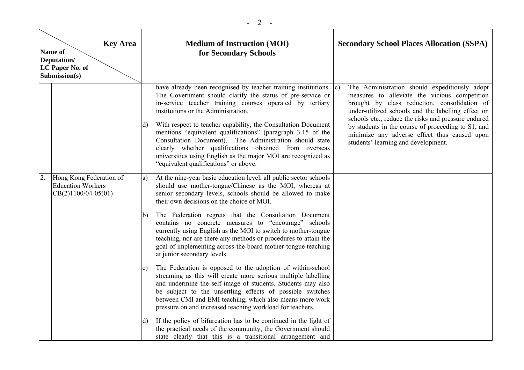|    | <b>Key Area</b><br>Name of<br>Deputation/<br>LC Paper No. of<br>Submission(s) |    | <b>Medium of Instruction (MOI)</b><br>for Secondary Schools                                                                                                                                                                                                                                                                                                                                                                                                                                                                                                                                      | <b>Secondary School Places Allocation (SSPA)</b>                                                                                                                                                                                                                                                                                                                                                         |
|----|-------------------------------------------------------------------------------|----|--------------------------------------------------------------------------------------------------------------------------------------------------------------------------------------------------------------------------------------------------------------------------------------------------------------------------------------------------------------------------------------------------------------------------------------------------------------------------------------------------------------------------------------------------------------------------------------------------|----------------------------------------------------------------------------------------------------------------------------------------------------------------------------------------------------------------------------------------------------------------------------------------------------------------------------------------------------------------------------------------------------------|
|    |                                                                               | d) | have already been recognised by teacher training institutions. c)<br>The Government should clarify the status of pre-service or<br>in-service teacher training courses operated by tertiary<br>institutions or the Administration.<br>With respect to teacher capability, the Consultation Document<br>mentions "equivalent qualifications" (paragraph 3.15 of the<br>Consultation Document). The Administration should state<br>clearly whether qualifications obtained from overseas<br>universities using English as the major MOI are recognized as<br>"equivalent qualifications" or above. | The Administration should expeditiously adopt<br>measures to alleviate the vicious competition<br>brought by class reduction, consolidation of<br>under-utilized schools and the labelling effect on<br>schools etc., reduce the risks and pressure endured<br>by students in the course of proceeding to S1, and<br>minimize any adverse effect thus caused upon<br>students' learning and development. |
| 2. | Hong Kong Federation of<br><b>Education Workers</b><br>$CB(2)1100/04-05(01)$  | a) | At the nine-year basic education level, all public sector schools<br>should use mother-tongue/Chinese as the MOI, whereas at<br>senior secondary levels, schools should be allowed to make<br>their own decisions on the choice of MOI.                                                                                                                                                                                                                                                                                                                                                          |                                                                                                                                                                                                                                                                                                                                                                                                          |
|    |                                                                               | b) | The Federation regrets that the Consultation Document<br>contains no concrete measures to "encourage" schools<br>currently using English as the MOI to switch to mother-tongue<br>teaching, nor are there any methods or procedures to attain the<br>goal of implementing across-the-board mother-tongue teaching<br>at junior secondary levels.                                                                                                                                                                                                                                                 |                                                                                                                                                                                                                                                                                                                                                                                                          |
|    |                                                                               | C) | The Federation is opposed to the adoption of within-school<br>streaming as this will create more serious multiple labelling<br>and undermine the self-image of students. Students may also<br>be subject to the unsettling effects of possible switches<br>between CMI and EMI teaching, which also means more work<br>pressure on and increased teaching workload for teachers.                                                                                                                                                                                                                 |                                                                                                                                                                                                                                                                                                                                                                                                          |
|    |                                                                               | d) | If the policy of bifurcation has to be continued in the light of<br>the practical needs of the community, the Government should<br>state clearly that this is a transitional arrangement and                                                                                                                                                                                                                                                                                                                                                                                                     |                                                                                                                                                                                                                                                                                                                                                                                                          |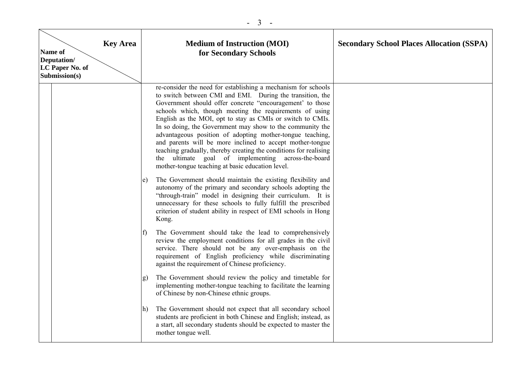| Name of<br>Deputation/<br>LC Paper No. of<br>Submission(s) | <b>Key Area</b> | <b>Medium of Instruction (MOI)</b><br>for Secondary Schools                                                                                                                                                                                                                                                                                                                                                                                                                                                                                                                                                                                                                            | <b>Secondary School Places Allocation (SSPA)</b> |
|------------------------------------------------------------|-----------------|----------------------------------------------------------------------------------------------------------------------------------------------------------------------------------------------------------------------------------------------------------------------------------------------------------------------------------------------------------------------------------------------------------------------------------------------------------------------------------------------------------------------------------------------------------------------------------------------------------------------------------------------------------------------------------------|--------------------------------------------------|
|                                                            |                 | re-consider the need for establishing a mechanism for schools<br>to switch between CMI and EMI. During the transition, the<br>Government should offer concrete "encouragement' to those<br>schools which, though meeting the requirements of using<br>English as the MOI, opt to stay as CMIs or switch to CMIs.<br>In so doing, the Government may show to the community the<br>advantageous position of adopting mother-tongue teaching,<br>and parents will be more inclined to accept mother-tongue<br>teaching gradually, thereby creating the conditions for realising<br>the ultimate goal of implementing across-the-board<br>mother-tongue teaching at basic education level. |                                                  |
|                                                            |                 | The Government should maintain the existing flexibility and<br>e)<br>autonomy of the primary and secondary schools adopting the<br>"through-train" model in designing their curriculum. It is<br>unnecessary for these schools to fully fulfill the prescribed<br>criterion of student ability in respect of EMI schools in Hong<br>Kong.                                                                                                                                                                                                                                                                                                                                              |                                                  |
|                                                            |                 | The Government should take the lead to comprehensively<br>$\ddot{\phantom{1}}$<br>review the employment conditions for all grades in the civil<br>service. There should not be any over-emphasis on the<br>requirement of English proficiency while discriminating<br>against the requirement of Chinese proficiency.                                                                                                                                                                                                                                                                                                                                                                  |                                                  |
|                                                            |                 | The Government should review the policy and timetable for<br>g)<br>implementing mother-tongue teaching to facilitate the learning<br>of Chinese by non-Chinese ethnic groups.                                                                                                                                                                                                                                                                                                                                                                                                                                                                                                          |                                                  |
|                                                            |                 | The Government should not expect that all secondary school<br>$\hbar$<br>students are proficient in both Chinese and English; instead, as<br>a start, all secondary students should be expected to master the<br>mother tongue well.                                                                                                                                                                                                                                                                                                                                                                                                                                                   |                                                  |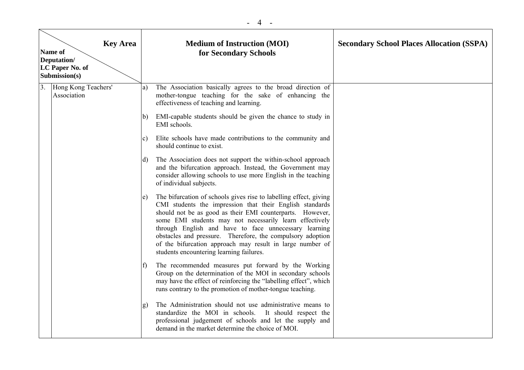| <b>Key Area</b><br>Name of<br>Deputation/<br>LC Paper No. of<br>Submission(s) |                                    |                   | <b>Medium of Instruction (MOI)</b><br>for Secondary Schools                                                                                                                                                                                                                                                                                                                                                                                                                           | <b>Secondary School Places Allocation (SSPA)</b> |
|-------------------------------------------------------------------------------|------------------------------------|-------------------|---------------------------------------------------------------------------------------------------------------------------------------------------------------------------------------------------------------------------------------------------------------------------------------------------------------------------------------------------------------------------------------------------------------------------------------------------------------------------------------|--------------------------------------------------|
| 3.                                                                            | Hong Kong Teachers'<br>Association | a)                | The Association basically agrees to the broad direction of<br>mother-tongue teaching for the sake of enhancing the<br>effectiveness of teaching and learning.                                                                                                                                                                                                                                                                                                                         |                                                  |
|                                                                               |                                    | b)                | EMI-capable students should be given the chance to study in<br>EMI schools.                                                                                                                                                                                                                                                                                                                                                                                                           |                                                  |
|                                                                               |                                    | c)                | Elite schools have made contributions to the community and<br>should continue to exist.                                                                                                                                                                                                                                                                                                                                                                                               |                                                  |
|                                                                               |                                    | d)                | The Association does not support the within-school approach<br>and the bifurcation approach. Instead, the Government may<br>consider allowing schools to use more English in the teaching<br>of individual subjects.                                                                                                                                                                                                                                                                  |                                                  |
|                                                                               |                                    | $\vert e \rangle$ | The bifurcation of schools gives rise to labelling effect, giving<br>CMI students the impression that their English standards<br>should not be as good as their EMI counterparts. However,<br>some EMI students may not necessarily learn effectively<br>through English and have to face unnecessary learning<br>obstacles and pressure. Therefore, the compulsory adoption<br>of the bifurcation approach may result in large number of<br>students encountering learning failures. |                                                  |
|                                                                               |                                    | $\mathbf{f}$      | The recommended measures put forward by the Working<br>Group on the determination of the MOI in secondary schools<br>may have the effect of reinforcing the "labelling effect", which<br>runs contrary to the promotion of mother-tongue teaching.                                                                                                                                                                                                                                    |                                                  |
|                                                                               |                                    | g)                | The Administration should not use administrative means to<br>standardize the MOI in schools. It should respect the<br>professional judgement of schools and let the supply and<br>demand in the market determine the choice of MOI.                                                                                                                                                                                                                                                   |                                                  |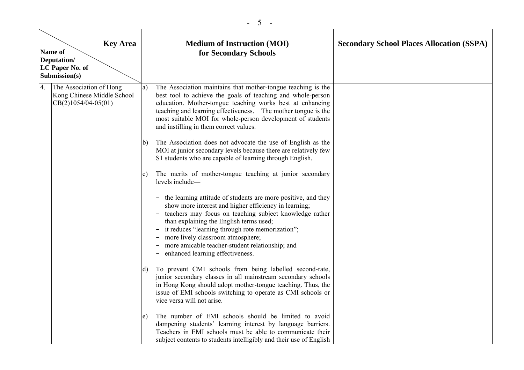| <b>Key Area</b><br>Name of<br>Deputation/<br>LC Paper No. of<br>Submission(s) |                                                                                |              | <b>Medium of Instruction (MOI)</b><br>for Secondary Schools                                                                                                                                                                                                                                                                                                                                                                                     | <b>Secondary School Places Allocation (SSPA)</b> |
|-------------------------------------------------------------------------------|--------------------------------------------------------------------------------|--------------|-------------------------------------------------------------------------------------------------------------------------------------------------------------------------------------------------------------------------------------------------------------------------------------------------------------------------------------------------------------------------------------------------------------------------------------------------|--------------------------------------------------|
| 4.                                                                            | The Association of Hong<br>Kong Chinese Middle School<br>$CB(2)1054/04-05(01)$ | a)           | The Association maintains that mother-tongue teaching is the<br>best tool to achieve the goals of teaching and whole-person<br>education. Mother-tongue teaching works best at enhancing<br>teaching and learning effectiveness. The mother tongue is the<br>most suitable MOI for whole-person development of students<br>and instilling in them correct values.                                                                               |                                                  |
|                                                                               |                                                                                | b)           | The Association does not advocate the use of English as the<br>MOI at junior secondary levels because there are relatively few<br>S1 students who are capable of learning through English.                                                                                                                                                                                                                                                      |                                                  |
|                                                                               |                                                                                | c)           | The merits of mother-tongue teaching at junior secondary<br>levels include-                                                                                                                                                                                                                                                                                                                                                                     |                                                  |
|                                                                               |                                                                                |              | - the learning attitude of students are more positive, and they<br>show more interest and higher efficiency in learning;<br>teachers may focus on teaching subject knowledge rather<br>$-$<br>than explaining the English terms used;<br>it reduces "learning through rote memorization";<br>$\qquad \qquad -$<br>more lively classroom atmosphere;<br>more amicable teacher-student relationship; and<br>enhanced learning effectiveness.<br>- |                                                  |
|                                                                               |                                                                                | $\mathbf{d}$ | To prevent CMI schools from being labelled second-rate,<br>junior secondary classes in all mainstream secondary schools<br>in Hong Kong should adopt mother-tongue teaching. Thus, the<br>issue of EMI schools switching to operate as CMI schools or<br>vice versa will not arise.                                                                                                                                                             |                                                  |
|                                                                               |                                                                                | e)           | The number of EMI schools should be limited to avoid<br>dampening students' learning interest by language barriers.<br>Teachers in EMI schools must be able to communicate their<br>subject contents to students intelligibly and their use of English                                                                                                                                                                                          |                                                  |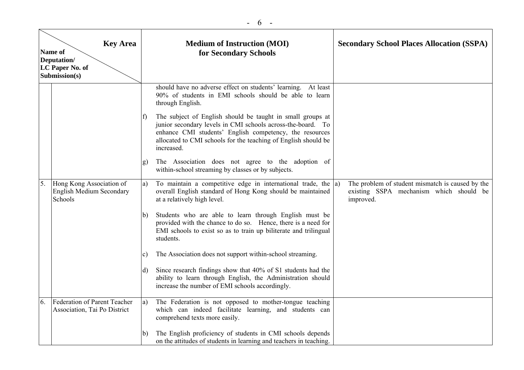| <b>Key Area</b><br>Name of<br>Deputation/<br>LC Paper No. of<br>Submission(s) |                                                                        |            | <b>Medium of Instruction (MOI)</b><br>for Secondary Schools                                                                                                                                               | <b>Secondary School Places Allocation (SSPA)</b>                                                         |
|-------------------------------------------------------------------------------|------------------------------------------------------------------------|------------|-----------------------------------------------------------------------------------------------------------------------------------------------------------------------------------------------------------|----------------------------------------------------------------------------------------------------------|
|                                                                               |                                                                        | $\vert$ f) | should have no adverse effect on students' learning. At least<br>90% of students in EMI schools should be able to learn<br>through English.<br>The subject of English should be taught in small groups at |                                                                                                          |
|                                                                               |                                                                        |            | junior secondary levels in CMI schools across-the-board. To<br>enhance CMI students' English competency, the resources<br>allocated to CMI schools for the teaching of English should be<br>increased.    |                                                                                                          |
|                                                                               |                                                                        | g)         | The Association does not agree to the adoption of<br>within-school streaming by classes or by subjects.                                                                                                   |                                                                                                          |
| 5.                                                                            | Hong Kong Association of<br><b>English Medium Secondary</b><br>Schools | a)         | To maintain a competitive edge in international trade, the $ a\rangle$<br>overall English standard of Hong Kong should be maintained<br>at a relatively high level.                                       | The problem of student mismatch is caused by the<br>existing SSPA mechanism which should be<br>improved. |
|                                                                               |                                                                        | b)         | Students who are able to learn through English must be<br>provided with the chance to do so. Hence, there is a need for<br>EMI schools to exist so as to train up biliterate and trilingual<br>students.  |                                                                                                          |
|                                                                               |                                                                        | C)         | The Association does not support within-school streaming.                                                                                                                                                 |                                                                                                          |
|                                                                               |                                                                        | d)         | Since research findings show that 40% of S1 students had the<br>ability to learn through English, the Administration should<br>increase the number of EMI schools accordingly.                            |                                                                                                          |
| 6.                                                                            | Federation of Parent Teacher<br>Association, Tai Po District           | a)         | The Federation is not opposed to mother-tongue teaching<br>which can indeed facilitate learning, and students can<br>comprehend texts more easily.                                                        |                                                                                                          |
|                                                                               |                                                                        | b)         | The English proficiency of students in CMI schools depends<br>on the attitudes of students in learning and teachers in teaching.                                                                          |                                                                                                          |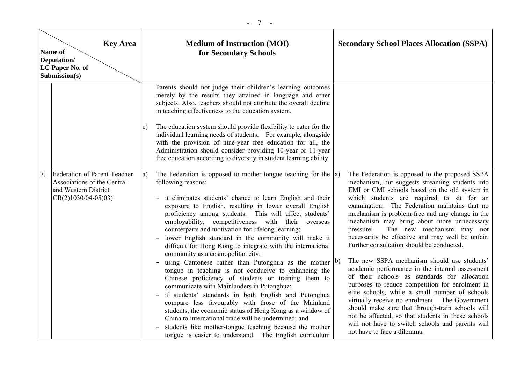| <b>Key Area</b><br>Name of<br>Deputation/<br>LC Paper No. of<br>Submission(s)                                |               | <b>Medium of Instruction (MOI)</b><br>for Secondary Schools                                                                                                                                                                                                                                                                                                                                                                                                                                                                                                                                                                                                                                                                                                                                                                                                                                                                                                                                                                                                                                                                           |    | <b>Secondary School Places Allocation (SSPA)</b>                                                                                                                                                                                                                                                                                                                                                                                                                                                                                                                                                                                                                                                                                                                                                                                                                                                                                                                                                   |
|--------------------------------------------------------------------------------------------------------------|---------------|---------------------------------------------------------------------------------------------------------------------------------------------------------------------------------------------------------------------------------------------------------------------------------------------------------------------------------------------------------------------------------------------------------------------------------------------------------------------------------------------------------------------------------------------------------------------------------------------------------------------------------------------------------------------------------------------------------------------------------------------------------------------------------------------------------------------------------------------------------------------------------------------------------------------------------------------------------------------------------------------------------------------------------------------------------------------------------------------------------------------------------------|----|----------------------------------------------------------------------------------------------------------------------------------------------------------------------------------------------------------------------------------------------------------------------------------------------------------------------------------------------------------------------------------------------------------------------------------------------------------------------------------------------------------------------------------------------------------------------------------------------------------------------------------------------------------------------------------------------------------------------------------------------------------------------------------------------------------------------------------------------------------------------------------------------------------------------------------------------------------------------------------------------------|
|                                                                                                              | $\mathbf{c})$ | Parents should not judge their children's learning outcomes<br>merely by the results they attained in language and other<br>subjects. Also, teachers should not attribute the overall decline<br>in teaching effectiveness to the education system.<br>The education system should provide flexibility to cater for the<br>individual learning needs of students. For example, alongside<br>with the provision of nine-year free education for all, the<br>Administration should consider providing 10-year or 11-year<br>free education according to diversity in student learning ability.                                                                                                                                                                                                                                                                                                                                                                                                                                                                                                                                          |    |                                                                                                                                                                                                                                                                                                                                                                                                                                                                                                                                                                                                                                                                                                                                                                                                                                                                                                                                                                                                    |
| Federation of Parent-Teacher<br>Associations of the Central<br>and Western District<br>$CB(2)1030/04-05(03)$ | a)            | The Federation is opposed to mother-tongue teaching for the $ a\rangle$<br>following reasons:<br>- it eliminates students' chance to learn English and their<br>exposure to English, resulting in lower overall English<br>proficiency among students. This will affect students'<br>employability, competitiveness with their overseas<br>counterparts and motivation for lifelong learning;<br>lower English standard in the community will make it<br>difficult for Hong Kong to integrate with the international<br>community as a cosmopolitan city;<br>using Cantonese rather than Putonghua as the mother<br>tongue in teaching is not conducive to enhancing the<br>Chinese proficiency of students or training them to<br>communicate with Mainlanders in Putonghua;<br>if students' standards in both English and Putonghua<br>compare less favourably with those of the Mainland<br>students, the economic status of Hong Kong as a window of<br>China to international trade will be undermined; and<br>students like mother-tongue teaching because the mother<br>tongue is easier to understand. The English curriculum | b) | The Federation is opposed to the proposed SSPA<br>mechanism, but suggests streaming students into<br>EMI or CMI schools based on the old system in<br>which students are required to sit for an<br>examination. The Federation maintains that no<br>mechanism is problem-free and any change in the<br>mechanism may bring about more unnecessary<br>The new mechanism may not<br>pressure.<br>necessarily be effective and may well be unfair.<br>Further consultation should be conducted.<br>The new SSPA mechanism should use students'<br>academic performance in the internal assessment<br>of their schools as standards for allocation<br>purposes to reduce competition for enrolment in<br>elite schools, while a small number of schools<br>virtually receive no enrolment. The Government<br>should make sure that through-train schools will<br>not be affected, so that students in these schools<br>will not have to switch schools and parents will<br>not have to face a dilemma. |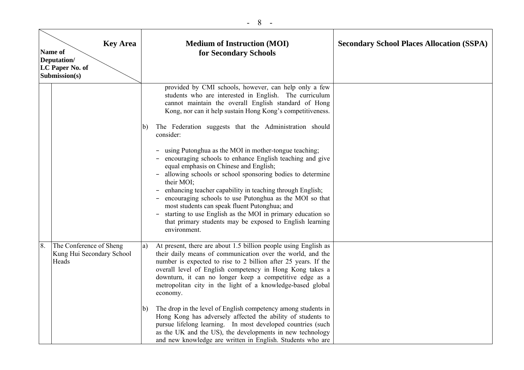|    | <b>Key Area</b><br>Name of<br>Deputation/<br>LC Paper No. of<br>Submission(s) |    | <b>Medium of Instruction (MOI)</b><br>for Secondary Schools                                                                                                                                                                                                                                                                                                                                                                                                                                                                                               | <b>Secondary School Places Allocation (SSPA)</b> |
|----|-------------------------------------------------------------------------------|----|-----------------------------------------------------------------------------------------------------------------------------------------------------------------------------------------------------------------------------------------------------------------------------------------------------------------------------------------------------------------------------------------------------------------------------------------------------------------------------------------------------------------------------------------------------------|--------------------------------------------------|
|    |                                                                               | b) | provided by CMI schools, however, can help only a few<br>students who are interested in English. The curriculum<br>cannot maintain the overall English standard of Hong<br>Kong, nor can it help sustain Hong Kong's competitiveness.<br>The Federation suggests that the Administration should<br>consider:                                                                                                                                                                                                                                              |                                                  |
|    |                                                                               |    | using Putonghua as the MOI in mother-tongue teaching;<br>encouraging schools to enhance English teaching and give<br>equal emphasis on Chinese and English;<br>allowing schools or school sponsoring bodies to determine<br>their MOI;<br>enhancing teacher capability in teaching through English;<br>encouraging schools to use Putonghua as the MOI so that<br>most students can speak fluent Putonghua; and<br>starting to use English as the MOI in primary education so<br>that primary students may be exposed to English learning<br>environment. |                                                  |
| 8. | The Conference of Sheng<br>Kung Hui Secondary School<br>Heads                 | a) | At present, there are about 1.5 billion people using English as<br>their daily means of communication over the world, and the<br>number is expected to rise to 2 billion after 25 years. If the<br>overall level of English competency in Hong Kong takes a<br>downturn, it can no longer keep a competitive edge as a<br>metropolitan city in the light of a knowledge-based global<br>economy.                                                                                                                                                          |                                                  |
|    |                                                                               | b) | The drop in the level of English competency among students in<br>Hong Kong has adversely affected the ability of students to<br>pursue lifelong learning. In most developed countries (such<br>as the UK and the US), the developments in new technology<br>and new knowledge are written in English. Students who are                                                                                                                                                                                                                                    |                                                  |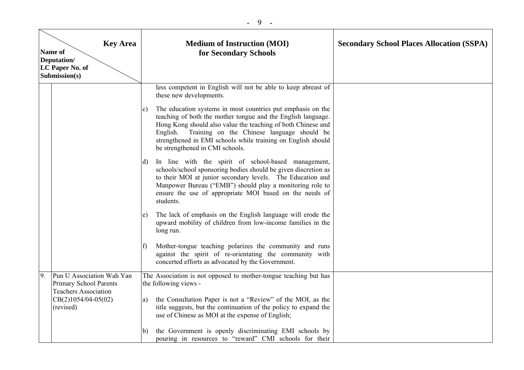|    | <b>Key Area</b><br>Name of<br>Deputation/<br>LC Paper No. of<br>Submission(s) | <b>Medium of Instruction (MOI)</b><br>for Secondary Schools                                                                                                                                                                                                                                                                                                                                                                                             | <b>Secondary School Places Allocation (SSPA)</b> |
|----|-------------------------------------------------------------------------------|---------------------------------------------------------------------------------------------------------------------------------------------------------------------------------------------------------------------------------------------------------------------------------------------------------------------------------------------------------------------------------------------------------------------------------------------------------|--------------------------------------------------|
|    |                                                                               | less competent in English will not be able to keep abreast of<br>these new developments.<br>The education systems in most countries put emphasis on the<br>C)<br>teaching of both the mother tongue and the English language.<br>Hong Kong should also value the teaching of both Chinese and<br>English. Training on the Chinese language should be<br>strengthened in EMI schools while training on English should<br>be strengthened in CMI schools. |                                                  |
|    |                                                                               | In line with the spirit of school-based management,<br>d)<br>schools/school sponsoring bodies should be given discretion as<br>to their MOI at junior secondary levels. The Education and<br>Manpower Bureau ("EMB") should play a monitoring role to<br>ensure the use of appropriate MOI based on the needs of<br>students.                                                                                                                           |                                                  |
|    |                                                                               | The lack of emphasis on the English language will erode the<br>e)<br>upward mobility of children from low-income families in the<br>long run.                                                                                                                                                                                                                                                                                                           |                                                  |
|    |                                                                               | Mother-tongue teaching polarizes the community and runs<br>$\ddot{\phantom{1}}$<br>against the spirit of re-orientating the community with<br>concerted efforts as advocated by the Government.                                                                                                                                                                                                                                                         |                                                  |
| 9. | Pun U Association Wah Yan<br>Primary School Parents                           | The Association is not opposed to mother-tongue teaching but has<br>the following views -                                                                                                                                                                                                                                                                                                                                                               |                                                  |
|    | <b>Teachers Association</b><br>$CB(2)1054/04-05(02)$<br>(revised)             | the Consultation Paper is not a "Review" of the MOI, as the<br>a)<br>title suggests, but the continuation of the policy to expand the<br>use of Chinese as MOI at the expense of English;                                                                                                                                                                                                                                                               |                                                  |
|    |                                                                               | the Government is openly discriminating EMI schools by<br>b)<br>pouring in resources to "reward" CMI schools for their                                                                                                                                                                                                                                                                                                                                  |                                                  |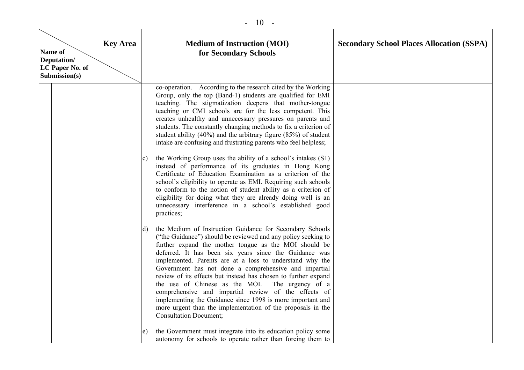| Name of<br>Deputation/ | <b>Key Area</b><br>LC Paper No. of<br>Submission(s) | <b>Medium of Instruction (MOI)</b><br>for Secondary Schools                                                                                                                                                                                                                                                                                                                                                                                                                                                                                                                                                                                                                                                        | <b>Secondary School Places Allocation (SSPA)</b> |
|------------------------|-----------------------------------------------------|--------------------------------------------------------------------------------------------------------------------------------------------------------------------------------------------------------------------------------------------------------------------------------------------------------------------------------------------------------------------------------------------------------------------------------------------------------------------------------------------------------------------------------------------------------------------------------------------------------------------------------------------------------------------------------------------------------------------|--------------------------------------------------|
|                        |                                                     | co-operation. According to the research cited by the Working<br>Group, only the top (Band-1) students are qualified for EMI<br>teaching. The stigmatization deepens that mother-tongue<br>teaching or CMI schools are for the less competent. This<br>creates unhealthy and unnecessary pressures on parents and<br>students. The constantly changing methods to fix a criterion of<br>student ability $(40\%)$ and the arbitrary figure $(85\%)$ of student<br>intake are confusing and frustrating parents who feel helpless;                                                                                                                                                                                    |                                                  |
|                        |                                                     | the Working Group uses the ability of a school's intakes (S1)<br>C)<br>instead of performance of its graduates in Hong Kong<br>Certificate of Education Examination as a criterion of the<br>school's eligibility to operate as EMI. Requiring such schools<br>to conform to the notion of student ability as a criterion of<br>eligibility for doing what they are already doing well is an<br>unnecessary interference in a school's established good<br>practices;                                                                                                                                                                                                                                              |                                                  |
|                        |                                                     | the Medium of Instruction Guidance for Secondary Schools<br>d)<br>("the Guidance") should be reviewed and any policy seeking to<br>further expand the mother tongue as the MOI should be<br>deferred. It has been six years since the Guidance was<br>implemented. Parents are at a loss to understand why the<br>Government has not done a comprehensive and impartial<br>review of its effects but instead has chosen to further expand<br>the use of Chinese as the MOI. The urgency of a<br>comprehensive and impartial review of the effects of<br>implementing the Guidance since 1998 is more important and<br>more urgent than the implementation of the proposals in the<br><b>Consultation Document;</b> |                                                  |
|                        |                                                     | the Government must integrate into its education policy some<br>e)<br>autonomy for schools to operate rather than forcing them to                                                                                                                                                                                                                                                                                                                                                                                                                                                                                                                                                                                  |                                                  |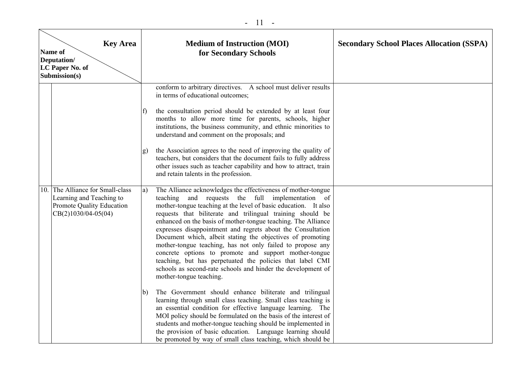#### - 11 -

| <b>Key Area</b><br>Name of<br>Deputation/<br>LC Paper No. of<br>Submission(s)                                    |                      | <b>Medium of Instruction (MOI)</b><br>for Secondary Schools                                                                                                                                                                                                                                                                                                                                                                                                                                                                                                                                                                                                                                                                                                                               | <b>Secondary School Places Allocation (SSPA)</b> |
|------------------------------------------------------------------------------------------------------------------|----------------------|-------------------------------------------------------------------------------------------------------------------------------------------------------------------------------------------------------------------------------------------------------------------------------------------------------------------------------------------------------------------------------------------------------------------------------------------------------------------------------------------------------------------------------------------------------------------------------------------------------------------------------------------------------------------------------------------------------------------------------------------------------------------------------------------|--------------------------------------------------|
|                                                                                                                  | $\ddot{\phantom{1}}$ | conform to arbitrary directives. A school must deliver results<br>in terms of educational outcomes;<br>the consultation period should be extended by at least four<br>months to allow more time for parents, schools, higher<br>institutions, the business community, and ethnic minorities to<br>understand and comment on the proposals; and                                                                                                                                                                                                                                                                                                                                                                                                                                            |                                                  |
|                                                                                                                  | g)                   | the Association agrees to the need of improving the quality of<br>teachers, but considers that the document fails to fully address<br>other issues such as teacher capability and how to attract, train<br>and retain talents in the profession.                                                                                                                                                                                                                                                                                                                                                                                                                                                                                                                                          |                                                  |
| 10. The Alliance for Small-class<br>Learning and Teaching to<br>Promote Quality Education<br>CB(2)1030/04-05(04) | a)<br>b)             | The Alliance acknowledges the effectiveness of mother-tongue<br>teaching and requests the full implementation of<br>mother-tongue teaching at the level of basic education. It also<br>requests that biliterate and trilingual training should be<br>enhanced on the basis of mother-tongue teaching. The Alliance<br>expresses disappointment and regrets about the Consultation<br>Document which, albeit stating the objectives of promoting<br>mother-tongue teaching, has not only failed to propose any<br>concrete options to promote and support mother-tongue<br>teaching, but has perpetuated the policies that label CMI<br>schools as second-rate schools and hinder the development of<br>mother-tongue teaching.<br>The Government should enhance biliterate and trilingual |                                                  |
|                                                                                                                  |                      | learning through small class teaching. Small class teaching is<br>an essential condition for effective language learning. The<br>MOI policy should be formulated on the basis of the interest of<br>students and mother-tongue teaching should be implemented in<br>the provision of basic education. Language learning should<br>be promoted by way of small class teaching, which should be                                                                                                                                                                                                                                                                                                                                                                                             |                                                  |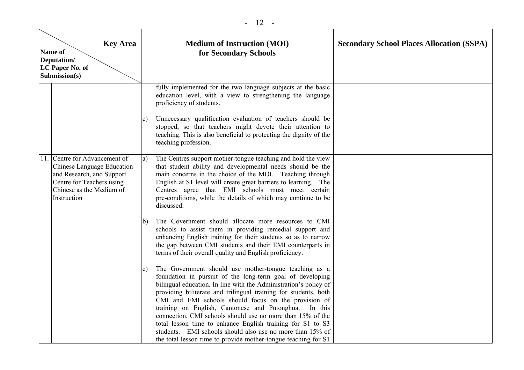| <b>Key Area</b><br>Name of<br>Deputation/<br>LC Paper No. of<br>Submission(s) |                                                                                                                                                              |              | <b>Medium of Instruction (MOI)</b><br>for Secondary Schools                                                                                                                                                                                                                                                                                                                                                                                                                                                                                                                                                                              | <b>Secondary School Places Allocation (SSPA)</b> |
|-------------------------------------------------------------------------------|--------------------------------------------------------------------------------------------------------------------------------------------------------------|--------------|------------------------------------------------------------------------------------------------------------------------------------------------------------------------------------------------------------------------------------------------------------------------------------------------------------------------------------------------------------------------------------------------------------------------------------------------------------------------------------------------------------------------------------------------------------------------------------------------------------------------------------------|--------------------------------------------------|
|                                                                               |                                                                                                                                                              | c            | fully implemented for the two language subjects at the basic<br>education level, with a view to strengthening the language<br>proficiency of students.<br>Unnecessary qualification evaluation of teachers should be<br>stopped, so that teachers might devote their attention to<br>teaching. This is also beneficial to protecting the dignity of the<br>teaching profession.                                                                                                                                                                                                                                                          |                                                  |
|                                                                               | Centre for Advancement of<br>Chinese Language Education<br>and Research, and Support<br>Centre for Teachers using<br>Chinese as the Medium of<br>Instruction | a)           | The Centres support mother-tongue teaching and hold the view<br>that student ability and developmental needs should be the<br>main concerns in the choice of the MOI. Teaching through<br>English at S1 level will create great barriers to learning. The<br>Centres agree that EMI schools must meet certain<br>pre-conditions, while the details of which may continue to be<br>discussed.                                                                                                                                                                                                                                             |                                                  |
|                                                                               |                                                                                                                                                              | $\mathsf{b}$ | The Government should allocate more resources to CMI<br>schools to assist them in providing remedial support and<br>enhancing English training for their students so as to narrow<br>the gap between CMI students and their EMI counterparts in<br>terms of their overall quality and English proficiency.                                                                                                                                                                                                                                                                                                                               |                                                  |
|                                                                               |                                                                                                                                                              | c            | The Government should use mother-tongue teaching as a<br>foundation in pursuit of the long-term goal of developing<br>bilingual education. In line with the Administration's policy of<br>providing biliterate and trilingual training for students, both<br>CMI and EMI schools should focus on the provision of<br>training on English, Cantonese and Putonghua.<br>In this<br>connection, CMI schools should use no more than 15% of the<br>total lesson time to enhance English training for S1 to S3<br>students. EMI schools should also use no more than 15% of<br>the total lesson time to provide mother-tongue teaching for S1 |                                                  |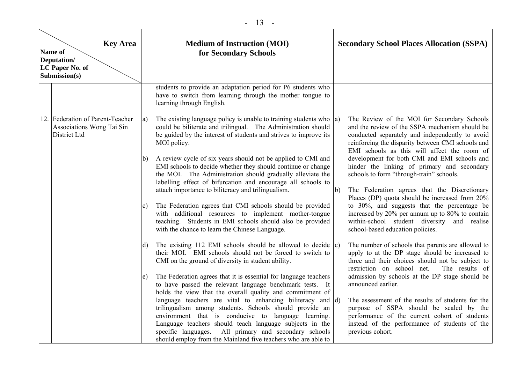| <b>Key Area</b><br><b>Name of</b><br>Deputation/<br>LC Paper No. of<br>Submission(s) |                                                                               |    | <b>Medium of Instruction (MOI)</b><br>for Secondary Schools                                                                                                                                                                                                                                                                                                                   |    | <b>Secondary School Places Allocation (SSPA)</b>                                                                                                                                                                                                     |
|--------------------------------------------------------------------------------------|-------------------------------------------------------------------------------|----|-------------------------------------------------------------------------------------------------------------------------------------------------------------------------------------------------------------------------------------------------------------------------------------------------------------------------------------------------------------------------------|----|------------------------------------------------------------------------------------------------------------------------------------------------------------------------------------------------------------------------------------------------------|
|                                                                                      |                                                                               |    | students to provide an adaptation period for P6 students who<br>have to switch from learning through the mother tongue to<br>learning through English.                                                                                                                                                                                                                        |    |                                                                                                                                                                                                                                                      |
|                                                                                      | 12. Federation of Parent-Teacher<br>Associations Wong Tai Sin<br>District Ltd | a) | The existing language policy is unable to training students who $ a\rangle$<br>could be biliterate and trilingual. The Administration should<br>be guided by the interest of students and strives to improve its<br>MOI policy.                                                                                                                                               |    | The Review of the MOI for Secondary Schools<br>and the review of the SSPA mechanism should be<br>conducted separately and independently to avoid<br>reinforcing the disparity between CMI schools and<br>EMI schools as this will affect the room of |
|                                                                                      |                                                                               | b) | A review cycle of six years should not be applied to CMI and<br>EMI schools to decide whether they should continue or change<br>the MOI. The Administration should gradually alleviate the<br>labelling effect of bifurcation and encourage all schools to<br>attach importance to biliteracy and trilingualism.                                                              | b) | development for both CMI and EMI schools and<br>hinder the linking of primary and secondary<br>schools to form "through-train" schools.<br>The Federation agrees that the Discretionary                                                              |
|                                                                                      |                                                                               | C) | The Federation agrees that CMI schools should be provided<br>with additional resources to implement mother-tongue<br>teaching. Students in EMI schools should also be provided<br>with the chance to learn the Chinese Language.                                                                                                                                              |    | Places (DP) quota should be increased from 20%<br>to 30%, and suggests that the percentage be<br>increased by 20% per annum up to 80% to contain<br>within-school student diversity and realise<br>school-based education policies.                  |
|                                                                                      |                                                                               | d) | The existing 112 EMI schools should be allowed to decide $ c\rangle$<br>their MOI. EMI schools should not be forced to switch to<br>CMI on the ground of diversity in student ability.                                                                                                                                                                                        |    | The number of schools that parents are allowed to<br>apply to at the DP stage should be increased to<br>three and their choices should not be subject to<br>restriction on school net.<br>The results of                                             |
|                                                                                      |                                                                               | e) | The Federation agrees that it is essential for language teachers<br>to have passed the relevant language benchmark tests. It<br>holds the view that the overall quality and commitment of                                                                                                                                                                                     |    | admission by schools at the DP stage should be<br>announced earlier.                                                                                                                                                                                 |
|                                                                                      |                                                                               |    | language teachers are vital to enhancing biliteracy and $\vert d$ )<br>trilingualism among students. Schools should provide an<br>environment that is conducive to language learning.<br>Language teachers should teach language subjects in the<br>All primary and secondary schools<br>specific languages.<br>should employ from the Mainland five teachers who are able to |    | The assessment of the results of students for the<br>purpose of SSPA should be scaled by the<br>performance of the current cohort of students<br>instead of the performance of students of the<br>previous cohort.                                   |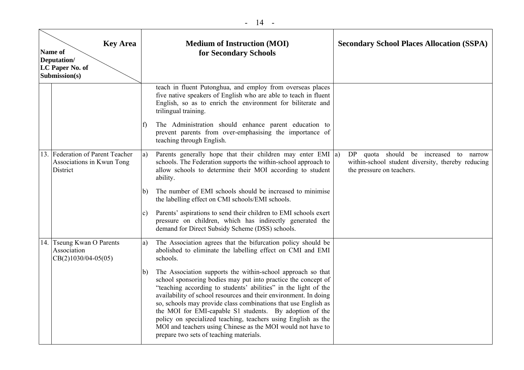| <b>Key Area</b><br>Name of<br>Deputation/<br>LC Paper No. of<br>Submission(s) |                                                                           |              | <b>Medium of Instruction (MOI)</b><br>for Secondary Schools                                                                                                                                                                                                                                                                                                                                                                                                                                                                                                                 | <b>Secondary School Places Allocation (SSPA)</b>                                                                            |
|-------------------------------------------------------------------------------|---------------------------------------------------------------------------|--------------|-----------------------------------------------------------------------------------------------------------------------------------------------------------------------------------------------------------------------------------------------------------------------------------------------------------------------------------------------------------------------------------------------------------------------------------------------------------------------------------------------------------------------------------------------------------------------------|-----------------------------------------------------------------------------------------------------------------------------|
|                                                                               |                                                                           |              | teach in fluent Putonghua, and employ from overseas places<br>five native speakers of English who are able to teach in fluent<br>English, so as to enrich the environment for biliterate and<br>trilingual training.                                                                                                                                                                                                                                                                                                                                                        |                                                                                                                             |
|                                                                               |                                                                           | f)           | The Administration should enhance parent education to<br>prevent parents from over-emphasising the importance of<br>teaching through English.                                                                                                                                                                                                                                                                                                                                                                                                                               |                                                                                                                             |
|                                                                               | 13. Federation of Parent Teacher<br>Associations in Kwun Tong<br>District | a)           | Parents generally hope that their children may enter EMI $ a\rangle$<br>schools. The Federation supports the within-school approach to<br>allow schools to determine their MOI according to student<br>ability.                                                                                                                                                                                                                                                                                                                                                             | DP quota should be increased<br>to narrow<br>within-school student diversity, thereby reducing<br>the pressure on teachers. |
|                                                                               |                                                                           | b)           | The number of EMI schools should be increased to minimise<br>the labelling effect on CMI schools/EMI schools.                                                                                                                                                                                                                                                                                                                                                                                                                                                               |                                                                                                                             |
|                                                                               |                                                                           | C)           | Parents' aspirations to send their children to EMI schools exert<br>pressure on children, which has indirectly generated the<br>demand for Direct Subsidy Scheme (DSS) schools.                                                                                                                                                                                                                                                                                                                                                                                             |                                                                                                                             |
| 14.                                                                           | <b>Tseung Kwan O Parents</b><br>Association<br>$CB(2)1030/04-05(05)$      | a)           | The Association agrees that the bifurcation policy should be<br>abolished to eliminate the labelling effect on CMI and EMI<br>schools.                                                                                                                                                                                                                                                                                                                                                                                                                                      |                                                                                                                             |
|                                                                               |                                                                           | $\mathbf{b}$ | The Association supports the within-school approach so that<br>school sponsoring bodies may put into practice the concept of<br>"teaching according to students' abilities" in the light of the<br>availability of school resources and their environment. In doing<br>so, schools may provide class combinations that use English as<br>the MOI for EMI-capable S1 students. By adoption of the<br>policy on specialized teaching, teachers using English as the<br>MOI and teachers using Chinese as the MOI would not have to<br>prepare two sets of teaching materials. |                                                                                                                             |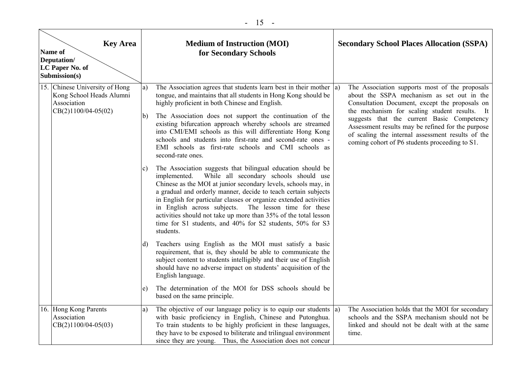|  | <b>Key Area</b><br>Name of<br>Deputation/<br>LC Paper No. of<br>Submission(s) |    | <b>Medium of Instruction (MOI)</b><br>for Secondary Schools                                                                                                                                                                                                                                                                                                                                                                                                                                                                             | <b>Secondary School Places Allocation (SSPA)</b>                                                                                                                                                                                                        |
|--|-------------------------------------------------------------------------------|----|-----------------------------------------------------------------------------------------------------------------------------------------------------------------------------------------------------------------------------------------------------------------------------------------------------------------------------------------------------------------------------------------------------------------------------------------------------------------------------------------------------------------------------------------|---------------------------------------------------------------------------------------------------------------------------------------------------------------------------------------------------------------------------------------------------------|
|  | 15. Chinese University of Hong<br>Kong School Heads Alumni<br>Association     | a) | The Association agrees that students learn best in their mother $ a\rangle$<br>tongue, and maintains that all students in Hong Kong should be<br>highly proficient in both Chinese and English.                                                                                                                                                                                                                                                                                                                                         | The Association supports most of the proposals<br>about the SSPA mechanism as set out in the<br>Consultation Document, except the proposals on                                                                                                          |
|  | $CB(2)1100/04-05(02)$                                                         | b) | The Association does not support the continuation of the<br>existing bifurcation approach whereby schools are streamed<br>into CMI/EMI schools as this will differentiate Hong Kong<br>schools and students into first-rate and second-rate ones -<br>EMI schools as first-rate schools and CMI schools as<br>second-rate ones.                                                                                                                                                                                                         | the mechanism for scaling student results. It<br>suggests that the current Basic Competency<br>Assessment results may be refined for the purpose<br>of scaling the internal assessment results of the<br>coming cohort of P6 students proceeding to S1. |
|  |                                                                               | C) | The Association suggests that bilingual education should be<br>While all secondary schools should use<br>implemented.<br>Chinese as the MOI at junior secondary levels, schools may, in<br>a gradual and orderly manner, decide to teach certain subjects<br>in English for particular classes or organize extended activities<br>in English across subjects.<br>The lesson time for these<br>activities should not take up more than 35% of the total lesson<br>time for S1 students, and 40% for S2 students, 50% for S3<br>students. |                                                                                                                                                                                                                                                         |
|  |                                                                               | d) | Teachers using English as the MOI must satisfy a basic<br>requirement, that is, they should be able to communicate the<br>subject content to students intelligibly and their use of English<br>should have no adverse impact on students' acquisition of the<br>English language.                                                                                                                                                                                                                                                       |                                                                                                                                                                                                                                                         |
|  |                                                                               | e) | The determination of the MOI for DSS schools should be<br>based on the same principle.                                                                                                                                                                                                                                                                                                                                                                                                                                                  |                                                                                                                                                                                                                                                         |
|  | 16. Hong Kong Parents<br>Association<br>$CB(2)1100/04-05(03)$                 | a) | The objective of our language policy is to equip our students $ a\rangle$<br>with basic proficiency in English, Chinese and Putonghua.<br>To train students to be highly proficient in these languages,<br>they have to be exposed to biliterate and trilingual environment<br>since they are young. Thus, the Association does not concur                                                                                                                                                                                              | The Association holds that the MOI for secondary<br>schools and the SSPA mechanism should not be<br>linked and should not be dealt with at the same<br>time.                                                                                            |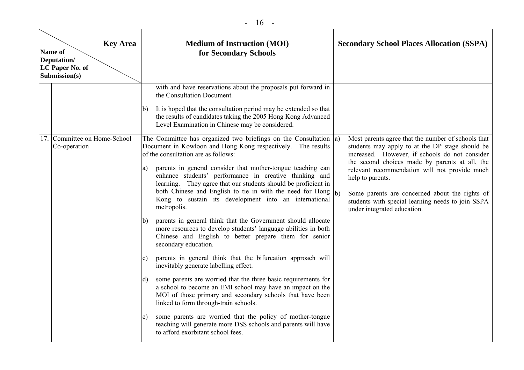| ۰.<br>× |  |
|---------|--|
|---------|--|

| <b>Key Area</b><br>Name of<br>Deputation/<br>LC Paper No. of<br>Submission(s) | <b>Medium of Instruction (MOI)</b><br><b>Secondary School Places Allocation (SSPA)</b><br>for Secondary Schools                                                                                                                                                                                                                                                                                                                                                                                                                                                                                                                                                                                                                                                                                                                                                                                                                                       |
|-------------------------------------------------------------------------------|-------------------------------------------------------------------------------------------------------------------------------------------------------------------------------------------------------------------------------------------------------------------------------------------------------------------------------------------------------------------------------------------------------------------------------------------------------------------------------------------------------------------------------------------------------------------------------------------------------------------------------------------------------------------------------------------------------------------------------------------------------------------------------------------------------------------------------------------------------------------------------------------------------------------------------------------------------|
|                                                                               | with and have reservations about the proposals put forward in<br>the Consultation Document.<br>(b) It is hoped that the consultation period may be extended so that<br>the results of candidates taking the 2005 Hong Kong Advanced<br>Level Examination in Chinese may be considered.                                                                                                                                                                                                                                                                                                                                                                                                                                                                                                                                                                                                                                                                |
| 17. Committee on Home-School<br>Co-operation                                  | The Committee has organized two briefings on the Consultation $ a\rangle$<br>Most parents agree that the number of schools that<br>Document in Kowloon and Hong Kong respectively. The results<br>students may apply to at the DP stage should be<br>of the consultation are as follows:<br>increased. However, if schools do not consider<br>the second choices made by parents at all, the<br>parents in general consider that mother-tongue teaching can<br>a)<br>relevant recommendation will not provide much<br>enhance students' performance in creative thinking and<br>help to parents.<br>learning. They agree that our students should be proficient in<br>both Chinese and English to tie in with the need for Hong $ _b$ )<br>Some parents are concerned about the rights of<br>Kong to sustain its development into an international<br>students with special learning needs to join SSPA<br>metropolis.<br>under integrated education. |
|                                                                               | parents in general think that the Government should allocate<br>b)<br>more resources to develop students' language abilities in both<br>Chinese and English to better prepare them for senior<br>secondary education.<br>parents in general think that the bifurcation approach will<br>C)<br>inevitably generate labelling effect.                                                                                                                                                                                                                                                                                                                                                                                                                                                                                                                                                                                                                   |
|                                                                               | (d) some parents are worried that the three basic requirements for<br>a school to become an EMI school may have an impact on the<br>MOI of those primary and secondary schools that have been<br>linked to form through-train schools.                                                                                                                                                                                                                                                                                                                                                                                                                                                                                                                                                                                                                                                                                                                |
|                                                                               | some parents are worried that the policy of mother-tongue<br>e)<br>teaching will generate more DSS schools and parents will have<br>to afford exorbitant school fees.                                                                                                                                                                                                                                                                                                                                                                                                                                                                                                                                                                                                                                                                                                                                                                                 |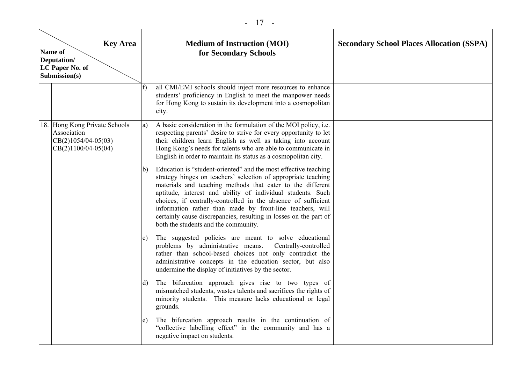| <b>Key Area</b><br>Name of<br>Deputation/<br>LC Paper No. of<br>Submission(s) |                                                                                                |    | <b>Medium of Instruction (MOI)</b><br>for Secondary Schools                                                                                                                                                                                                                                                                                                                                                                                                                                               | <b>Secondary School Places Allocation (SSPA)</b> |
|-------------------------------------------------------------------------------|------------------------------------------------------------------------------------------------|----|-----------------------------------------------------------------------------------------------------------------------------------------------------------------------------------------------------------------------------------------------------------------------------------------------------------------------------------------------------------------------------------------------------------------------------------------------------------------------------------------------------------|--------------------------------------------------|
|                                                                               |                                                                                                | f) | all CMI/EMI schools should inject more resources to enhance<br>students' proficiency in English to meet the manpower needs<br>for Hong Kong to sustain its development into a cosmopolitan<br>city.                                                                                                                                                                                                                                                                                                       |                                                  |
|                                                                               | 18. Hong Kong Private Schools<br>Association<br>$CB(2)1054/04-05(03)$<br>$CB(2)1100/04-05(04)$ | a) | A basic consideration in the formulation of the MOI policy, i.e.<br>respecting parents' desire to strive for every opportunity to let<br>their children learn English as well as taking into account<br>Hong Kong's needs for talents who are able to communicate in<br>English in order to maintain its status as a cosmopolitan city.                                                                                                                                                                   |                                                  |
|                                                                               |                                                                                                | b) | Education is "student-oriented" and the most effective teaching<br>strategy hinges on teachers' selection of appropriate teaching<br>materials and teaching methods that cater to the different<br>aptitude, interest and ability of individual students. Such<br>choices, if centrally-controlled in the absence of sufficient<br>information rather than made by front-line teachers, will<br>certainly cause discrepancies, resulting in losses on the part of<br>both the students and the community. |                                                  |
|                                                                               |                                                                                                | c) | The suggested policies are meant to solve educational<br>problems by administrative means.<br>Centrally-controlled<br>rather than school-based choices not only contradict the<br>administrative concepts in the education sector, but also<br>undermine the display of initiatives by the sector.                                                                                                                                                                                                        |                                                  |
|                                                                               |                                                                                                | d) | The bifurcation approach gives rise to two types of<br>mismatched students, wastes talents and sacrifices the rights of<br>minority students. This measure lacks educational or legal<br>grounds.                                                                                                                                                                                                                                                                                                         |                                                  |
|                                                                               |                                                                                                | e) | The bifurcation approach results in the continuation of<br>"collective labelling effect" in the community and has a<br>negative impact on students.                                                                                                                                                                                                                                                                                                                                                       |                                                  |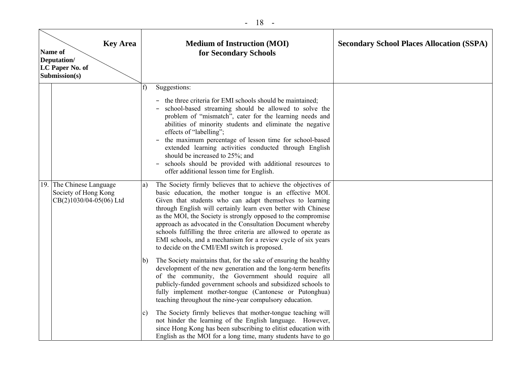- 18 -

| <b>Key Area</b><br>Name of<br>Deputation/<br>LC Paper No. of<br>Submission(s) |                                                                               | <b>Medium of Instruction (MOI)</b><br>for Secondary Schools |                                                                                                                                                                                                                                                                                                                                                                                                                                                                                                                                                                         | <b>Secondary School Places Allocation (SSPA)</b> |
|-------------------------------------------------------------------------------|-------------------------------------------------------------------------------|-------------------------------------------------------------|-------------------------------------------------------------------------------------------------------------------------------------------------------------------------------------------------------------------------------------------------------------------------------------------------------------------------------------------------------------------------------------------------------------------------------------------------------------------------------------------------------------------------------------------------------------------------|--------------------------------------------------|
|                                                                               |                                                                               | f                                                           | Suggestions:<br>the three criteria for EMI schools should be maintained;                                                                                                                                                                                                                                                                                                                                                                                                                                                                                                |                                                  |
|                                                                               |                                                                               |                                                             | school-based streaming should be allowed to solve the<br>problem of "mismatch", cater for the learning needs and<br>abilities of minority students and eliminate the negative<br>effects of "labelling";<br>the maximum percentage of lesson time for school-based<br>extended learning activities conducted through English<br>should be increased to 25%; and<br>schools should be provided with additional resources to<br>offer additional lesson time for English.                                                                                                 |                                                  |
|                                                                               | 19. The Chinese Language<br>Society of Hong Kong<br>$CR(2)1030/04-05(06)$ Ltd | a)                                                          | The Society firmly believes that to achieve the objectives of<br>basic education, the mother tongue is an effective MOI.<br>Given that students who can adapt themselves to learning<br>through English will certainly learn even better with Chinese<br>as the MOI, the Society is strongly opposed to the compromise<br>approach as advocated in the Consultation Document whereby<br>schools fulfilling the three criteria are allowed to operate as<br>EMI schools, and a mechanism for a review cycle of six years<br>to decide on the CMI/EMI switch is proposed. |                                                  |
|                                                                               |                                                                               | b)                                                          | The Society maintains that, for the sake of ensuring the healthy<br>development of the new generation and the long-term benefits<br>of the community, the Government should require all<br>publicly-funded government schools and subsidized schools to<br>fully implement mother-tongue (Cantonese or Putonghua)<br>teaching throughout the nine-year compulsory education.                                                                                                                                                                                            |                                                  |
|                                                                               |                                                                               | $\mathbf{c})$                                               | The Society firmly believes that mother-tongue teaching will<br>not hinder the learning of the English language. However,<br>since Hong Kong has been subscribing to elitist education with<br>English as the MOI for a long time, many students have to go                                                                                                                                                                                                                                                                                                             |                                                  |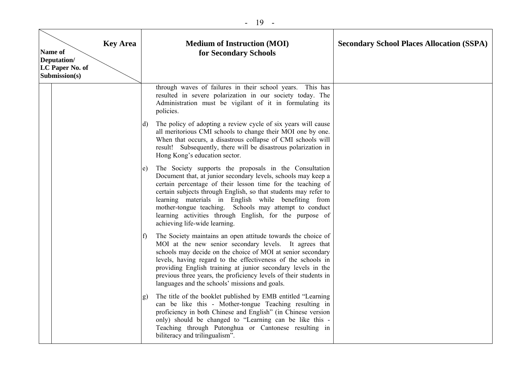#### - 19 -

| <b>Key Area</b><br>Name of<br>Deputation/<br>LC Paper No. of<br>Submission(s) |                              | <b>Medium of Instruction (MOI)</b><br>for Secondary Schools                                                                                                                                                                                                                                                                                                                                                                                                            | <b>Secondary School Places Allocation (SSPA)</b> |
|-------------------------------------------------------------------------------|------------------------------|------------------------------------------------------------------------------------------------------------------------------------------------------------------------------------------------------------------------------------------------------------------------------------------------------------------------------------------------------------------------------------------------------------------------------------------------------------------------|--------------------------------------------------|
|                                                                               |                              | through waves of failures in their school years. This has<br>resulted in severe polarization in our society today. The<br>Administration must be vigilant of it in formulating its<br>policies.                                                                                                                                                                                                                                                                        |                                                  |
|                                                                               | (d)                          | The policy of adopting a review cycle of six years will cause<br>all meritorious CMI schools to change their MOI one by one.<br>When that occurs, a disastrous collapse of CMI schools will<br>result! Subsequently, there will be disastrous polarization in<br>Hong Kong's education sector.                                                                                                                                                                         |                                                  |
|                                                                               | e)                           | The Society supports the proposals in the Consultation<br>Document that, at junior secondary levels, schools may keep a<br>certain percentage of their lesson time for the teaching of<br>certain subjects through English, so that students may refer to<br>learning materials in English while benefiting from<br>mother-tongue teaching. Schools may attempt to conduct<br>learning activities through English, for the purpose of<br>achieving life-wide learning. |                                                  |
|                                                                               | $\mathbf{f}$                 | The Society maintains an open attitude towards the choice of<br>MOI at the new senior secondary levels. It agrees that<br>schools may decide on the choice of MOI at senior secondary<br>levels, having regard to the effectiveness of the schools in<br>providing English training at junior secondary levels in the<br>previous three years, the proficiency levels of their students in<br>languages and the schools' missions and goals.                           |                                                  |
|                                                                               | $\left( \frac{1}{2} \right)$ | The title of the booklet published by EMB entitled "Learning<br>can be like this - Mother-tongue Teaching resulting in<br>proficiency in both Chinese and English" (in Chinese version<br>only) should be changed to "Learning can be like this -<br>Teaching through Putonghua or Cantonese resulting in<br>biliteracy and trilingualism".                                                                                                                            |                                                  |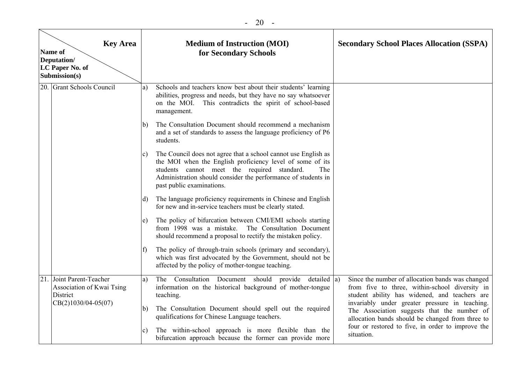|     | <b>Key Area</b><br>Name of<br>Deputation/<br>LC Paper No. of<br>Submission(s)          |              | <b>Medium of Instruction (MOI)</b><br>for Secondary Schools                                                                                                                                                                                                                     | <b>Secondary School Places Allocation (SSPA)</b>                                                                                                                                                      |
|-----|----------------------------------------------------------------------------------------|--------------|---------------------------------------------------------------------------------------------------------------------------------------------------------------------------------------------------------------------------------------------------------------------------------|-------------------------------------------------------------------------------------------------------------------------------------------------------------------------------------------------------|
|     | 20. Grant Schools Council                                                              | a)           | Schools and teachers know best about their students' learning<br>abilities, progress and needs, but they have no say whatsoever<br>on the MOI. This contradicts the spirit of school-based<br>management.                                                                       |                                                                                                                                                                                                       |
|     |                                                                                        | b)           | The Consultation Document should recommend a mechanism<br>and a set of standards to assess the language proficiency of P6<br>students.                                                                                                                                          |                                                                                                                                                                                                       |
|     |                                                                                        | c)           | The Council does not agree that a school cannot use English as<br>the MOI when the English proficiency level of some of its<br>students cannot meet the required standard.<br>The<br>Administration should consider the performance of students in<br>past public examinations. |                                                                                                                                                                                                       |
|     |                                                                                        | d)           | The language proficiency requirements in Chinese and English<br>for new and in-service teachers must be clearly stated.                                                                                                                                                         |                                                                                                                                                                                                       |
|     |                                                                                        | e)           | The policy of bifurcation between CMI/EMI schools starting<br>from 1998 was a mistake. The Consultation Document<br>should recommend a proposal to rectify the mistaken policy.                                                                                                 |                                                                                                                                                                                                       |
|     |                                                                                        | $\mathbf{f}$ | The policy of through-train schools (primary and secondary),<br>which was first advocated by the Government, should not be<br>affected by the policy of mother-tongue teaching.                                                                                                 |                                                                                                                                                                                                       |
| 21. | Joint Parent-Teacher<br>Association of Kwai Tsing<br>District<br>$CB(2)1030/04-05(07)$ | a)           | The Consultation Document should provide detailed a)<br>information on the historical background of mother-tongue<br>teaching.                                                                                                                                                  | Since the number of allocation bands was changed<br>from five to three, within-school diversity in<br>student ability has widened, and teachers are<br>invariably under greater pressure in teaching. |
|     |                                                                                        | b)           | The Consultation Document should spell out the required<br>qualifications for Chinese Language teachers.                                                                                                                                                                        | The Association suggests that the number of<br>allocation bands should be changed from three to                                                                                                       |
|     |                                                                                        | c)           | The within-school approach is more flexible than the<br>bifurcation approach because the former can provide more                                                                                                                                                                | four or restored to five, in order to improve the<br>situation.                                                                                                                                       |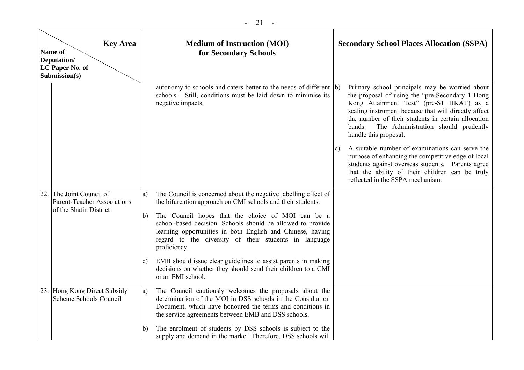| <b>Key Area</b><br>Name of<br>Deputation/<br>LC Paper No. of<br>Submission(s) |    | <b>Medium of Instruction (MOI)</b><br>for Secondary Schools                                                                                                                                                                                             | <b>Secondary School Places Allocation (SSPA)</b>                                                                                                                                                                                                                                                                                                                                                                                                                                                                                                                                                           |
|-------------------------------------------------------------------------------|----|---------------------------------------------------------------------------------------------------------------------------------------------------------------------------------------------------------------------------------------------------------|------------------------------------------------------------------------------------------------------------------------------------------------------------------------------------------------------------------------------------------------------------------------------------------------------------------------------------------------------------------------------------------------------------------------------------------------------------------------------------------------------------------------------------------------------------------------------------------------------------|
|                                                                               |    | autonomy to schools and caters better to the needs of different (b)<br>schools. Still, conditions must be laid down to minimise its<br>negative impacts.                                                                                                | Primary school principals may be worried about<br>the proposal of using the "pre-Secondary 1 Hong<br>Kong Attainment Test" (pre-S1 HKAT) as a<br>scaling instrument because that will directly affect<br>the number of their students in certain allocation<br>The Administration should prudently<br>bands.<br>handle this proposal.<br>A suitable number of examinations can serve the<br>$\mathbf{c}$<br>purpose of enhancing the competitive edge of local<br>students against overseas students. Parents agree<br>that the ability of their children can be truly<br>reflected in the SSPA mechanism. |
| The Joint Council of<br>22<br><b>Parent-Teacher Associations</b>              | a) | The Council is concerned about the negative labelling effect of<br>the bifurcation approach on CMI schools and their students.                                                                                                                          |                                                                                                                                                                                                                                                                                                                                                                                                                                                                                                                                                                                                            |
| of the Shatin District                                                        | b) | The Council hopes that the choice of MOI can be a<br>school-based decision. Schools should be allowed to provide<br>learning opportunities in both English and Chinese, having<br>regard to the diversity of their students in language<br>proficiency. |                                                                                                                                                                                                                                                                                                                                                                                                                                                                                                                                                                                                            |
|                                                                               | C) | EMB should issue clear guidelines to assist parents in making<br>decisions on whether they should send their children to a CMI<br>or an EMI school.                                                                                                     |                                                                                                                                                                                                                                                                                                                                                                                                                                                                                                                                                                                                            |
| 23. Hong Kong Direct Subsidy<br>Scheme Schools Council                        | a) | The Council cautiously welcomes the proposals about the<br>determination of the MOI in DSS schools in the Consultation<br>Document, which have honoured the terms and conditions in<br>the service agreements between EMB and DSS schools.              |                                                                                                                                                                                                                                                                                                                                                                                                                                                                                                                                                                                                            |
|                                                                               | b) | The enrolment of students by DSS schools is subject to the<br>supply and demand in the market. Therefore, DSS schools will                                                                                                                              |                                                                                                                                                                                                                                                                                                                                                                                                                                                                                                                                                                                                            |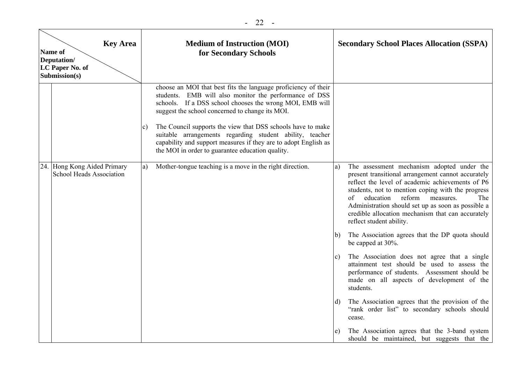| <b>Key Area</b><br>Name of<br>Deputation/<br>LC Paper No. of<br>Submission(s) |                                                                | <b>Medium of Instruction (MOI)</b><br>for Secondary Schools |                                                                                                                                                                                                                                                                                                                                                                                                                                                                                           | <b>Secondary School Places Allocation (SSPA)</b> |                                                                                                                                                                                                                                                                                                                                                                                                   |
|-------------------------------------------------------------------------------|----------------------------------------------------------------|-------------------------------------------------------------|-------------------------------------------------------------------------------------------------------------------------------------------------------------------------------------------------------------------------------------------------------------------------------------------------------------------------------------------------------------------------------------------------------------------------------------------------------------------------------------------|--------------------------------------------------|---------------------------------------------------------------------------------------------------------------------------------------------------------------------------------------------------------------------------------------------------------------------------------------------------------------------------------------------------------------------------------------------------|
|                                                                               |                                                                | c)                                                          | choose an MOI that best fits the language proficiency of their<br>students. EMB will also monitor the performance of DSS<br>schools. If a DSS school chooses the wrong MOI, EMB will<br>suggest the school concerned to change its MOI.<br>The Council supports the view that DSS schools have to make<br>suitable arrangements regarding student ability, teacher<br>capability and support measures if they are to adopt English as<br>the MOI in order to guarantee education quality. |                                                  |                                                                                                                                                                                                                                                                                                                                                                                                   |
|                                                                               | 24. Hong Kong Aided Primary<br><b>School Heads Association</b> | a)                                                          | Mother-tongue teaching is a move in the right direction.                                                                                                                                                                                                                                                                                                                                                                                                                                  | a)                                               | The assessment mechanism adopted under the<br>present transitional arrangement cannot accurately<br>reflect the level of academic achievements of P6<br>students, not to mention coping with the progress<br>education<br>reform<br>measures.<br>The<br>of<br>Administration should set up as soon as possible a<br>credible allocation mechanism that can accurately<br>reflect student ability. |
|                                                                               |                                                                |                                                             |                                                                                                                                                                                                                                                                                                                                                                                                                                                                                           | b)                                               | The Association agrees that the DP quota should<br>be capped at 30%.                                                                                                                                                                                                                                                                                                                              |
|                                                                               |                                                                |                                                             |                                                                                                                                                                                                                                                                                                                                                                                                                                                                                           | c)                                               | The Association does not agree that a single<br>attainment test should be used to assess the<br>performance of students. Assessment should be<br>made on all aspects of development of the<br>students.                                                                                                                                                                                           |
|                                                                               |                                                                |                                                             |                                                                                                                                                                                                                                                                                                                                                                                                                                                                                           | d)                                               | The Association agrees that the provision of the<br>"rank order list" to secondary schools should<br>cease.                                                                                                                                                                                                                                                                                       |
|                                                                               |                                                                |                                                             |                                                                                                                                                                                                                                                                                                                                                                                                                                                                                           | e)                                               | The Association agrees that the 3-band system<br>should be maintained, but suggests that the                                                                                                                                                                                                                                                                                                      |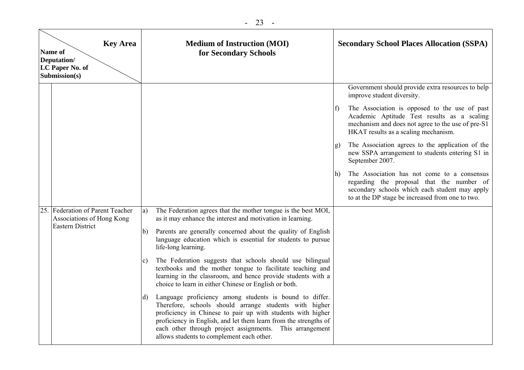| <b>Key Area</b><br>Name of<br>Deputation/<br>LC Paper No. of<br>Submission(s) |                                                                                          |                                            | <b>Medium of Instruction (MOI)</b><br>for Secondary Schools                                                                                                                                                                                                                                                                                                                                                                                                                                                                                                                                                                                                                                                                                                                                                                                                                                             |                          | <b>Secondary School Places Allocation (SSPA)</b>                                                                                                                                                                                                                                                                                                                                                                                                                                                                                                                                                         |  |  |
|-------------------------------------------------------------------------------|------------------------------------------------------------------------------------------|--------------------------------------------|---------------------------------------------------------------------------------------------------------------------------------------------------------------------------------------------------------------------------------------------------------------------------------------------------------------------------------------------------------------------------------------------------------------------------------------------------------------------------------------------------------------------------------------------------------------------------------------------------------------------------------------------------------------------------------------------------------------------------------------------------------------------------------------------------------------------------------------------------------------------------------------------------------|--------------------------|----------------------------------------------------------------------------------------------------------------------------------------------------------------------------------------------------------------------------------------------------------------------------------------------------------------------------------------------------------------------------------------------------------------------------------------------------------------------------------------------------------------------------------------------------------------------------------------------------------|--|--|
|                                                                               |                                                                                          |                                            |                                                                                                                                                                                                                                                                                                                                                                                                                                                                                                                                                                                                                                                                                                                                                                                                                                                                                                         | $\mathbf{f}$<br>g)<br>h) | Government should provide extra resources to help<br>improve student diversity.<br>The Association is opposed to the use of past<br>Academic Aptitude Test results as a scaling<br>mechanism and does not agree to the use of pre-S1<br>HKAT results as a scaling mechanism.<br>The Association agrees to the application of the<br>new SSPA arrangement to students entering S1 in<br>September 2007.<br>The Association has not come to a consensus<br>regarding the proposal that the number of<br>secondary schools which each student may apply<br>to at the DP stage be increased from one to two. |  |  |
|                                                                               | 25. Federation of Parent Teacher<br>Associations of Hong Kong<br><b>Eastern District</b> | a)<br>$\mathsf{b}$<br>$\mathbf{c}$ )<br>d) | The Federation agrees that the mother tongue is the best MOI,<br>as it may enhance the interest and motivation in learning.<br>Parents are generally concerned about the quality of English<br>language education which is essential for students to pursue<br>life-long learning.<br>The Federation suggests that schools should use bilingual<br>textbooks and the mother tongue to facilitate teaching and<br>learning in the classroom, and hence provide students with a<br>choice to learn in either Chinese or English or both.<br>Language proficiency among students is bound to differ.<br>Therefore, schools should arrange students with higher<br>proficiency in Chinese to pair up with students with higher<br>proficiency in English, and let them learn from the strengths of<br>each other through project assignments. This arrangement<br>allows students to complement each other. |                          |                                                                                                                                                                                                                                                                                                                                                                                                                                                                                                                                                                                                          |  |  |